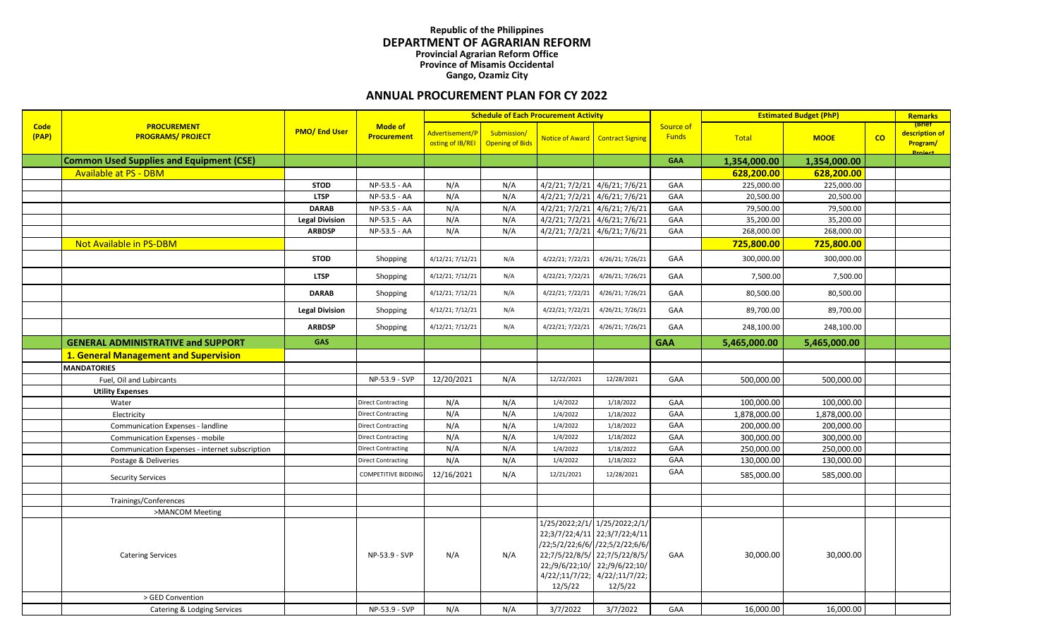## **Republic of the Philippines DEPARTMENT OF AGRARIAN REFORM Provincial Agrarian Reform Office Province of Misamis Occidental Gango, Ozamiz City**

## **ANNUAL PROCUREMENT PLAN FOR CY 2022**

|                      |                                                 |                       |                                      |                                     |                                       | <b>Schedule of Each Procurement Activity</b> |                                                                                                                                                                                                                 |                           |              | <b>Estimated Budget (PhP)</b> |    | <b>Remarks</b>                                         |
|----------------------|-------------------------------------------------|-----------------------|--------------------------------------|-------------------------------------|---------------------------------------|----------------------------------------------|-----------------------------------------------------------------------------------------------------------------------------------------------------------------------------------------------------------------|---------------------------|--------------|-------------------------------|----|--------------------------------------------------------|
| <b>Code</b><br>(PAP) | <b>PROCUREMENT</b><br><b>PROGRAMS/ PROJECT</b>  | <b>PMO/End User</b>   | <b>Mode of</b><br><b>Procurement</b> | Advertisement/P<br>osting of IB/REI | Submission/<br><b>Opening of Bids</b> |                                              | Notice of Award Contract Signing                                                                                                                                                                                | Source of<br><b>Funds</b> | Total        | <b>MOOE</b>                   | co | (Brief<br>description of<br><b>Program/</b><br>Droinct |
|                      | <b>Common Used Supplies and Equipment (CSE)</b> |                       |                                      |                                     |                                       |                                              |                                                                                                                                                                                                                 | <b>GAA</b>                | 1,354,000.00 | 1,354,000.00                  |    |                                                        |
|                      | <b>Available at PS - DBM</b>                    |                       |                                      |                                     |                                       |                                              |                                                                                                                                                                                                                 |                           | 628,200.00   | 628,200.00                    |    |                                                        |
|                      |                                                 | <b>STOD</b>           | NP-53.5 - AA                         | N/A                                 | N/A                                   | 4/2/21; 7/2/21 4/6/21; 7/6/21                |                                                                                                                                                                                                                 | GAA                       | 225,000.00   | 225,000.00                    |    |                                                        |
|                      |                                                 | <b>LTSP</b>           | NP-53.5 - AA                         | N/A                                 | N/A                                   | 4/2/21; 7/2/21 4/6/21; 7/6/21                |                                                                                                                                                                                                                 | GAA                       | 20,500.00    | 20,500.00                     |    |                                                        |
|                      |                                                 | <b>DARAB</b>          | NP-53.5 - AA                         | N/A                                 | N/A                                   | 4/2/21; 7/2/21 4/6/21; 7/6/21                |                                                                                                                                                                                                                 | GAA                       | 79,500.00    | 79,500.00                     |    |                                                        |
|                      |                                                 | <b>Legal Division</b> | NP-53.5 - AA                         | N/A                                 | N/A                                   | 4/2/21; 7/2/21 4/6/21; 7/6/21                |                                                                                                                                                                                                                 | GAA                       | 35,200.00    | 35,200.00                     |    |                                                        |
|                      |                                                 | <b>ARBDSP</b>         | NP-53.5 - AA                         | N/A                                 | N/A                                   | 4/2/21; 7/2/21 4/6/21; 7/6/21                |                                                                                                                                                                                                                 | GAA                       | 268,000.00   | 268,000.00                    |    |                                                        |
|                      | Not Available in PS-DBM                         |                       |                                      |                                     |                                       |                                              |                                                                                                                                                                                                                 |                           | 725,800.00   | 725,800.00                    |    |                                                        |
|                      |                                                 | <b>STOD</b>           | Shopping                             | 4/12/21; 7/12/21                    | N/A                                   | 4/22/21; 7/22/21                             | 4/26/21; 7/26/21                                                                                                                                                                                                | GAA                       | 300,000.00   | 300,000.00                    |    |                                                        |
|                      |                                                 | <b>LTSP</b>           | Shopping                             | 4/12/21; 7/12/21                    | N/A                                   | 4/22/21; 7/22/21                             | 4/26/21; 7/26/21                                                                                                                                                                                                | GAA                       | 7,500.00     | 7,500.00                      |    |                                                        |
|                      |                                                 | <b>DARAB</b>          | Shopping                             | 4/12/21; 7/12/21                    | N/A                                   | 4/22/21; 7/22/21                             | 4/26/21; 7/26/21                                                                                                                                                                                                | GAA                       | 80,500.00    | 80,500.00                     |    |                                                        |
|                      |                                                 | <b>Legal Division</b> | Shopping                             | 4/12/21; 7/12/21                    | N/A                                   | 4/22/21; 7/22/21                             | 4/26/21; 7/26/21                                                                                                                                                                                                | GAA                       | 89,700.00    | 89,700.00                     |    |                                                        |
|                      |                                                 | <b>ARBDSP</b>         | Shopping                             | 4/12/21; 7/12/21                    | N/A                                   | 4/22/21; 7/22/21                             | 4/26/21; 7/26/21                                                                                                                                                                                                | GAA                       | 248,100.00   | 248,100.00                    |    |                                                        |
|                      | <b>GENERAL ADMINISTRATIVE and SUPPORT</b>       | <b>GAS</b>            |                                      |                                     |                                       |                                              |                                                                                                                                                                                                                 | <b>GAA</b>                | 5,465,000.00 | 5,465,000.00                  |    |                                                        |
|                      | 1. General Management and Supervision           |                       |                                      |                                     |                                       |                                              |                                                                                                                                                                                                                 |                           |              |                               |    |                                                        |
|                      | <b>MANDATORIES</b>                              |                       |                                      |                                     |                                       |                                              |                                                                                                                                                                                                                 |                           |              |                               |    |                                                        |
|                      | Fuel, Oil and Lubircants                        |                       | NP-53.9 - SVP                        | 12/20/2021                          | N/A                                   | 12/22/2021                                   | 12/28/2021                                                                                                                                                                                                      | GAA                       | 500,000.00   | 500,000.00                    |    |                                                        |
|                      | <b>Utility Expenses</b>                         |                       |                                      |                                     |                                       |                                              |                                                                                                                                                                                                                 |                           |              |                               |    |                                                        |
|                      | Water                                           |                       | Direct Contracting                   | N/A                                 | N/A                                   | 1/4/2022                                     | 1/18/2022                                                                                                                                                                                                       | GAA                       | 100,000.00   | 100,000.00                    |    |                                                        |
|                      | Electricity                                     |                       | <b>Direct Contracting</b>            | N/A                                 | N/A                                   | 1/4/2022                                     | 1/18/2022                                                                                                                                                                                                       | GAA                       | 1,878,000.00 | 1,878,000.00                  |    |                                                        |
|                      | Communication Expenses - landline               |                       | <b>Direct Contracting</b>            | N/A                                 | N/A                                   | 1/4/2022                                     | 1/18/2022                                                                                                                                                                                                       | GAA                       | 200,000.00   | 200,000.00                    |    |                                                        |
|                      | Communication Expenses - mobile                 |                       | Direct Contracting                   | N/A                                 | N/A                                   | 1/4/2022                                     | 1/18/2022                                                                                                                                                                                                       | GAA                       | 300,000.00   | 300,000.00                    |    |                                                        |
|                      | Communication Expenses - internet subscription  |                       | <b>Direct Contracting</b>            | N/A                                 | N/A                                   | 1/4/2022                                     | 1/18/2022                                                                                                                                                                                                       | GAA                       | 250,000.00   | 250,000.00                    |    |                                                        |
|                      | Postage & Deliveries                            |                       | Direct Contracting                   | N/A                                 | N/A                                   | 1/4/2022                                     | 1/18/2022                                                                                                                                                                                                       | GAA                       | 130,000.00   | 130,000.00                    |    |                                                        |
|                      | <b>Security Services</b>                        |                       | <b>COMPETITIVE BIDDING</b>           | 12/16/2021                          | N/A                                   | 12/21/2021                                   | 12/28/2021                                                                                                                                                                                                      | GAA                       | 585,000.00   | 585,000.00                    |    |                                                        |
|                      |                                                 |                       |                                      |                                     |                                       |                                              |                                                                                                                                                                                                                 |                           |              |                               |    |                                                        |
|                      | Trainings/Conferences                           |                       |                                      |                                     |                                       |                                              |                                                                                                                                                                                                                 |                           |              |                               |    |                                                        |
|                      | >MANCOM Meeting                                 |                       |                                      |                                     |                                       |                                              |                                                                                                                                                                                                                 |                           |              |                               |    |                                                        |
|                      | <b>Catering Services</b>                        |                       | NP-53.9 - SVP                        | N/A                                 | N/A                                   | 12/5/22                                      | 1/25/2022;2/1/ 1/25/2022;2/1/<br>22;3/7/22;4/11 22;3/7/22;4/11<br>/22;5/2/22;6/6/ /22;5/2/22;6/6/<br>22;7/5/22/8/5/ 22;7/5/22/8/5/<br>22;/9/6/22;10/ 22;/9/6/22;10/<br>4/22/;11/7/22; 4/22/;11/7/22;<br>12/5/22 | GAA                       | 30,000.00    | 30,000.00                     |    |                                                        |
|                      | > GED Convention                                |                       |                                      |                                     |                                       |                                              |                                                                                                                                                                                                                 |                           |              |                               |    |                                                        |
|                      | Catering & Lodging Services                     |                       | NP-53.9 - SVP                        | N/A                                 | N/A                                   | 3/7/2022                                     | 3/7/2022                                                                                                                                                                                                        | <b>GAA</b>                | 16,000.00    | 16,000.00                     |    |                                                        |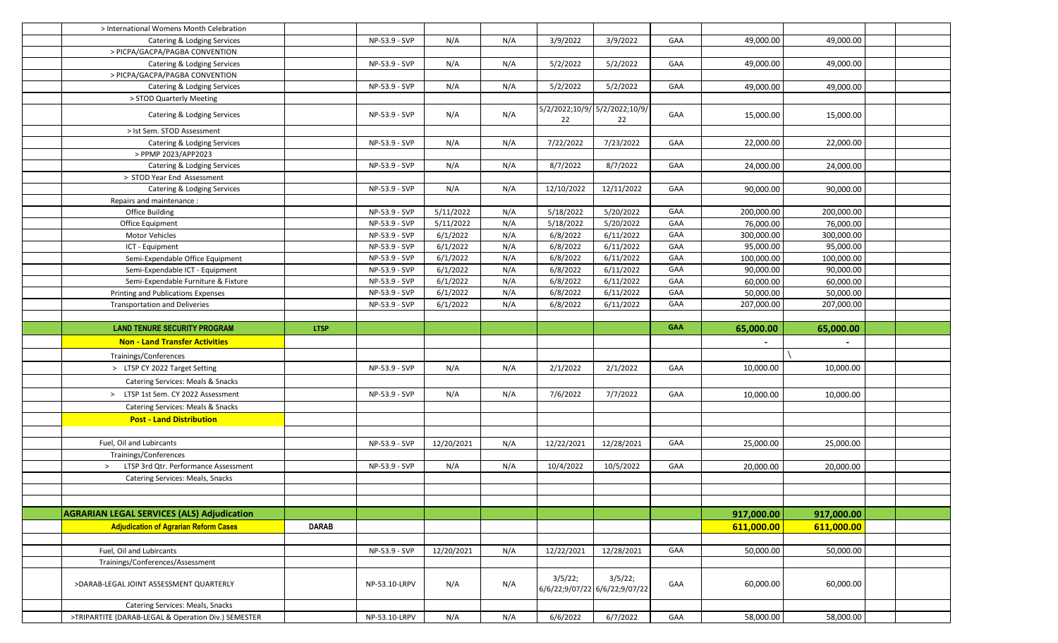| > International Womens Month Celebration                           |              |               |            |     |                                     |                                          |            |            |            |  |
|--------------------------------------------------------------------|--------------|---------------|------------|-----|-------------------------------------|------------------------------------------|------------|------------|------------|--|
| Catering & Lodging Services                                        |              | NP-53.9 - SVP | N/A        | N/A | 3/9/2022                            | 3/9/2022                                 | GAA        | 49,000.00  | 49,000.00  |  |
| > PICPA/GACPA/PAGBA CONVENTION                                     |              |               |            |     |                                     |                                          |            |            |            |  |
| Catering & Lodging Services                                        |              | NP-53.9 - SVP | N/A        | N/A | 5/2/2022                            | 5/2/2022                                 | GAA        | 49,000.00  | 49,000.00  |  |
| > PICPA/GACPA/PAGBA CONVENTION                                     |              |               |            |     |                                     |                                          |            |            |            |  |
| Catering & Lodging Services                                        |              | NP-53.9 - SVP | N/A        | N/A | 5/2/2022                            | 5/2/2022                                 | GAA        | 49,000.00  | 49,000.00  |  |
| > STOD Quarterly Meeting                                           |              |               |            |     |                                     |                                          |            |            |            |  |
| Catering & Lodging Services                                        |              | NP-53.9 - SVP | N/A        | N/A | 5/2/2022;10/9/ 5/2/2022;10/9/<br>22 | 22                                       | GAA        | 15,000.00  | 15,000.00  |  |
| > Ist Sem. STOD Assessment                                         |              |               |            |     |                                     |                                          |            |            |            |  |
| Catering & Lodging Services                                        |              | NP-53.9 - SVP | N/A        | N/A | 7/22/2022                           | 7/23/2022                                | GAA        | 22,000.00  | 22,000.00  |  |
| > PPMP 2023/APP2023                                                |              |               |            |     |                                     |                                          |            |            |            |  |
| Catering & Lodging Services                                        |              | NP-53.9 - SVP | N/A        | N/A | 8/7/2022                            | 8/7/2022                                 | GAA        | 24,000.00  | 24,000.00  |  |
| > STOD Year End Assessment                                         |              |               |            |     |                                     |                                          |            |            |            |  |
| Catering & Lodging Services                                        |              | NP-53.9 - SVP | N/A        | N/A | 12/10/2022                          | 12/11/2022                               | GAA        | 90,000.00  | 90,000.00  |  |
| Repairs and maintenance:                                           |              |               |            |     |                                     |                                          |            |            |            |  |
| Office Building                                                    |              | NP-53.9 - SVP | 5/11/2022  | N/A | 5/18/2022                           | 5/20/2022                                | GAA        | 200,000.00 | 200,000.00 |  |
| Office Equipment                                                   |              | NP-53.9 - SVP | 5/11/2022  | N/A | 5/18/2022                           | 5/20/2022                                | GAA        | 76,000.00  | 76,000.00  |  |
| Motor Vehicles                                                     |              | NP-53.9 - SVP | 6/1/2022   | N/A | 6/8/2022                            | 6/11/2022                                | GAA        | 300,000.00 | 300,000.00 |  |
| ICT - Equipment                                                    |              | NP-53.9 - SVP | 6/1/2022   | N/A | 6/8/2022                            | 6/11/2022                                | GAA        | 95,000.00  | 95,000.00  |  |
| Semi-Expendable Office Equipment                                   |              | NP-53.9 - SVP | 6/1/2022   | N/A | 6/8/2022                            | 6/11/2022                                | GAA        | 100,000.00 | 100,000.00 |  |
| Semi-Expendable ICT - Equipment                                    |              | NP-53.9 - SVP | 6/1/2022   | N/A | 6/8/2022                            | 6/11/2022                                | GAA        | 90,000.00  | 90,000.00  |  |
| Semi-Expendable Furniture & Fixture                                |              | NP-53.9 - SVP | 6/1/2022   | N/A | 6/8/2022                            | 6/11/2022                                | GAA        | 60,000.00  | 60,000.00  |  |
|                                                                    |              | NP-53.9 - SVP | 6/1/2022   | N/A | 6/8/2022                            | 6/11/2022                                | GAA        | 50,000.00  | 50,000.00  |  |
|                                                                    |              |               |            |     |                                     |                                          |            |            |            |  |
| Printing and Publications Expenses                                 |              |               |            |     |                                     |                                          |            |            |            |  |
| <b>Transportation and Deliveries</b>                               |              | NP-53.9 - SVP | 6/1/2022   | N/A | 6/8/2022                            | 6/11/2022                                | GAA        | 207,000.00 | 207,000.00 |  |
| <b>LAND TENURE SECURITY PROGRAM</b>                                | <b>LTSP</b>  |               |            |     |                                     |                                          | <b>GAA</b> |            |            |  |
| <b>Non - Land Transfer Activities</b>                              |              |               |            |     |                                     |                                          |            | 65,000.00  | 65,000.00  |  |
|                                                                    |              |               |            |     |                                     |                                          |            |            |            |  |
| Trainings/Conferences                                              |              | NP-53.9 - SVP | N/A        | N/A | 2/1/2022                            |                                          | GAA        | 10,000.00  | 10,000.00  |  |
| > LTSP CY 2022 Target Setting<br>Catering Services: Meals & Snacks |              |               |            |     |                                     | 2/1/2022                                 |            |            |            |  |
|                                                                    |              |               |            |     |                                     |                                          |            |            |            |  |
| > LTSP 1st Sem. CY 2022 Assessment                                 |              | NP-53.9 - SVP | N/A        | N/A | 7/6/2022                            | 7/7/2022                                 | GAA        | 10,000.00  | 10,000.00  |  |
| Catering Services: Meals & Snacks                                  |              |               |            |     |                                     |                                          |            |            |            |  |
| <b>Post - Land Distribution</b>                                    |              |               |            |     |                                     |                                          |            |            |            |  |
|                                                                    |              |               |            |     |                                     |                                          |            |            |            |  |
| Fuel, Oil and Lubircants                                           |              | NP-53.9 - SVP | 12/20/2021 | N/A | 12/22/2021                          | 12/28/2021                               | GAA        | 25,000.00  | 25,000.00  |  |
| Trainings/Conferences                                              |              |               |            |     |                                     |                                          |            |            |            |  |
| LTSP 3rd Qtr. Performance Assessment<br>>                          |              | NP-53.9 - SVP | N/A        | N/A | 10/4/2022                           | 10/5/2022                                | GAA        | 20,000.00  | 20,000.00  |  |
| Catering Services: Meals, Snacks                                   |              |               |            |     |                                     |                                          |            |            |            |  |
|                                                                    |              |               |            |     |                                     |                                          |            |            |            |  |
|                                                                    |              |               |            |     |                                     |                                          |            |            |            |  |
| <b>AGRARIAN LEGAL SERVICES (ALS) Adjudication</b>                  |              |               |            |     |                                     |                                          |            | 917,000.00 | 917,000.00 |  |
| <b>Adjudication of Agrarian Reform Cases</b>                       | <b>DARAB</b> |               |            |     |                                     |                                          |            | 611,000.00 | 611,000.00 |  |
|                                                                    |              |               |            |     |                                     |                                          |            |            |            |  |
| Fuel, Oil and Lubircants                                           |              | NP-53.9 - SVP | 12/20/2021 | N/A | 12/22/2021                          | 12/28/2021                               | GAA        | 50,000.00  | 50,000.00  |  |
| Trainings/Conferences/Assessment                                   |              |               |            |     |                                     |                                          |            |            |            |  |
| >DARAB-LEGAL JOINT ASSESSMENT QUARTERLY                            |              | NP-53.10-LRPV | N/A        | N/A | 3/5/22;                             | 3/5/22;<br>6/6/22;9/07/22 6/6/22;9/07/22 | GAA        | 60,000.00  | 60,000.00  |  |
| Catering Services: Meals, Snacks                                   |              |               |            |     |                                     |                                          |            |            |            |  |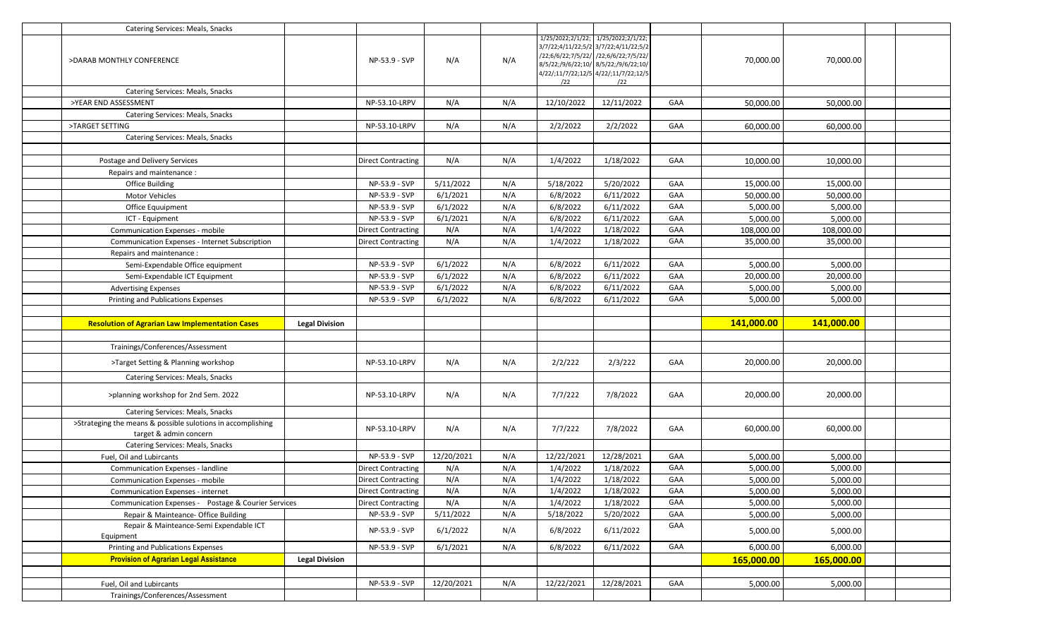| Catering Services: Meals, Snacks                            |                       |                           |            |     |            |                                                                                                                                                                                                                |     |            |            |  |
|-------------------------------------------------------------|-----------------------|---------------------------|------------|-----|------------|----------------------------------------------------------------------------------------------------------------------------------------------------------------------------------------------------------------|-----|------------|------------|--|
| >DARAB MONTHLY CONFERENCE                                   |                       | NP-53.9 - SVP             | N/A        | N/A | /22        | 1/25/2022;2/1/22; 1/25/2022;2/1/22;<br>3/7/22;4/11/22;5/2 3/7/22;4/11/22;5/2<br>/22;6/6/22;7/5/22/ /22;6/6/22;7/5/22/<br>8/5/22;/9/6/22;10/ 8/5/22;/9/6/22;10/<br>4/22/;11/7/22;12/5 4/22/;11/7/22;12/5<br>/22 |     | 70,000.00  | 70,000.00  |  |
| Catering Services: Meals, Snacks                            |                       |                           |            |     |            |                                                                                                                                                                                                                |     |            |            |  |
| >YEAR END ASSESSMENT                                        |                       | NP-53.10-LRPV             | N/A        | N/A | 12/10/2022 | 12/11/2022                                                                                                                                                                                                     | GAA | 50,000.00  | 50,000.00  |  |
| Catering Services: Meals, Snacks                            |                       |                           |            |     |            |                                                                                                                                                                                                                |     |            |            |  |
| >TARGET SETTING                                             |                       | NP-53.10-LRPV             | N/A        | N/A | 2/2/2022   | 2/2/2022                                                                                                                                                                                                       | GAA | 60,000.00  | 60,000.00  |  |
| Catering Services: Meals, Snacks                            |                       |                           |            |     |            |                                                                                                                                                                                                                |     |            |            |  |
|                                                             |                       |                           |            |     |            |                                                                                                                                                                                                                |     |            |            |  |
| Postage and Delivery Services                               |                       | <b>Direct Contracting</b> | N/A        | N/A | 1/4/2022   | 1/18/2022                                                                                                                                                                                                      | GAA | 10,000.00  | 10,000.00  |  |
| Repairs and maintenance:                                    |                       |                           |            |     |            |                                                                                                                                                                                                                |     |            |            |  |
| <b>Office Building</b>                                      |                       | NP-53.9 - SVP             | 5/11/2022  | N/A | 5/18/2022  | 5/20/2022                                                                                                                                                                                                      | GAA | 15,000.00  | 15,000.00  |  |
| Motor Vehicles                                              |                       | NP-53.9 - SVP             | 6/1/2021   | N/A | 6/8/2022   | 6/11/2022                                                                                                                                                                                                      | GAA | 50,000.00  | 50,000.00  |  |
| Office Equuipment                                           |                       | NP-53.9 - SVP             | 6/1/2022   | N/A | 6/8/2022   | 6/11/2022                                                                                                                                                                                                      | GAA | 5,000.00   | 5,000.00   |  |
| ICT - Equipment                                             |                       | NP-53.9 - SVP             | 6/1/2021   | N/A | 6/8/2022   | 6/11/2022                                                                                                                                                                                                      | GAA | 5,000.00   | 5,000.00   |  |
| Communication Expenses - mobile                             |                       | <b>Direct Contracting</b> | N/A        | N/A | 1/4/2022   | 1/18/2022                                                                                                                                                                                                      | GAA | 108,000.00 | 108,000.00 |  |
| Communication Expenses - Internet Subscription              |                       | <b>Direct Contracting</b> | N/A        | N/A | 1/4/2022   | 1/18/2022                                                                                                                                                                                                      | GAA | 35,000.00  | 35,000.00  |  |
| Repairs and maintenance:                                    |                       |                           |            |     |            |                                                                                                                                                                                                                |     |            |            |  |
| Semi-Expendable Office equipment                            |                       | NP-53.9 - SVP             | 6/1/2022   | N/A | 6/8/2022   | 6/11/2022                                                                                                                                                                                                      | GAA | 5,000.00   | 5,000.00   |  |
| Semi-Expendable ICT Equipment                               |                       | NP-53.9 - SVP             | 6/1/2022   | N/A | 6/8/2022   | 6/11/2022                                                                                                                                                                                                      | GAA | 20,000.00  | 20,000.00  |  |
| <b>Advertising Expenses</b>                                 |                       | NP-53.9 - SVP             | 6/1/2022   | N/A | 6/8/2022   | 6/11/2022                                                                                                                                                                                                      | GAA | 5,000.00   | 5,000.00   |  |
| Printing and Publications Expenses                          |                       | NP-53.9 - SVP             | 6/1/2022   | N/A | 6/8/2022   | 6/11/2022                                                                                                                                                                                                      | GAA | 5,000.00   | 5,000.00   |  |
|                                                             |                       |                           |            |     |            |                                                                                                                                                                                                                |     |            |            |  |
|                                                             |                       |                           |            |     |            |                                                                                                                                                                                                                |     |            |            |  |
| <b>Resolution of Agrarian Law Implementation Cases</b>      | <b>Legal Division</b> |                           |            |     |            |                                                                                                                                                                                                                |     | 141,000.00 | 141,000.00 |  |
|                                                             |                       |                           |            |     |            |                                                                                                                                                                                                                |     |            |            |  |
| Trainings/Conferences/Assessment                            |                       |                           |            |     |            |                                                                                                                                                                                                                |     |            |            |  |
| >Target Setting & Planning workshop                         |                       | NP-53.10-LRPV             | N/A        | N/A | 2/2/222    | 2/3/222                                                                                                                                                                                                        | GAA | 20,000.00  | 20,000.00  |  |
| Catering Services: Meals, Snacks                            |                       |                           |            |     |            |                                                                                                                                                                                                                |     |            |            |  |
| >planning workshop for 2nd Sem. 2022                        |                       | NP-53.10-LRPV             | N/A        | N/A | 7/7/222    | 7/8/2022                                                                                                                                                                                                       | GAA | 20,000.00  | 20,000.00  |  |
| Catering Services: Meals, Snacks                            |                       |                           |            |     |            |                                                                                                                                                                                                                |     |            |            |  |
| >Strateging the means & possible sulotions in accomplishing |                       | NP-53.10-LRPV             | N/A        | N/A | 7/7/222    | 7/8/2022                                                                                                                                                                                                       | GAA | 60,000.00  | 60,000.00  |  |
| target & admin concern<br>Catering Services: Meals, Snacks  |                       |                           |            |     |            |                                                                                                                                                                                                                |     |            |            |  |
| Fuel, Oil and Lubircants                                    |                       | NP-53.9 - SVP             | 12/20/2021 | N/A | 12/22/2021 | 12/28/2021                                                                                                                                                                                                     | GAA | 5,000.00   | 5,000.00   |  |
| Communication Expenses - landline                           |                       | <b>Direct Contracting</b> | N/A        | N/A | 1/4/2022   | 1/18/2022                                                                                                                                                                                                      | GAA | 5,000.00   | 5,000.00   |  |
| Communication Expenses - mobile                             |                       | <b>Direct Contracting</b> | N/A        | N/A | 1/4/2022   | 1/18/2022                                                                                                                                                                                                      | GAA | 5,000.00   | 5,000.00   |  |
| <b>Communication Expenses - internet</b>                    |                       | <b>Direct Contracting</b> | N/A        | N/A | 1/4/2022   | 1/18/2022                                                                                                                                                                                                      | GAA | 5,000.00   | 5,000.00   |  |
| Communication Expenses - Postage & Courier Services         |                       | <b>Direct Contracting</b> | N/A        | N/A | 1/4/2022   | 1/18/2022                                                                                                                                                                                                      | GAA | 5,000.00   | 5,000.00   |  |
| Repair & Mainteance- Office Building                        |                       | NP-53.9 - SVP             | 5/11/2022  | N/A | 5/18/2022  | 5/20/2022                                                                                                                                                                                                      | GAA | 5,000.00   | 5,000.00   |  |
| Repair & Mainteance-Semi Expendable ICT<br>Equipment        |                       | NP-53.9 - SVP             | 6/1/2022   | N/A | 6/8/2022   | 6/11/2022                                                                                                                                                                                                      | GAA | 5,000.00   | 5,000.00   |  |
| Printing and Publications Expenses                          |                       | NP-53.9 - SVP             | 6/1/2021   | N/A | 6/8/2022   | 6/11/2022                                                                                                                                                                                                      | GAA | 6,000.00   | 6,000.00   |  |
| <b>Provision of Agrarian Legal Assistance</b>               | <b>Legal Division</b> |                           |            |     |            |                                                                                                                                                                                                                |     |            |            |  |
|                                                             |                       |                           |            |     |            |                                                                                                                                                                                                                |     | 165,000.00 | 165,000.00 |  |
| Fuel, Oil and Lubircants                                    |                       | NP-53.9 - SVP             | 12/20/2021 | N/A | 12/22/2021 | 12/28/2021                                                                                                                                                                                                     | GAA | 5,000.00   | 5,000.00   |  |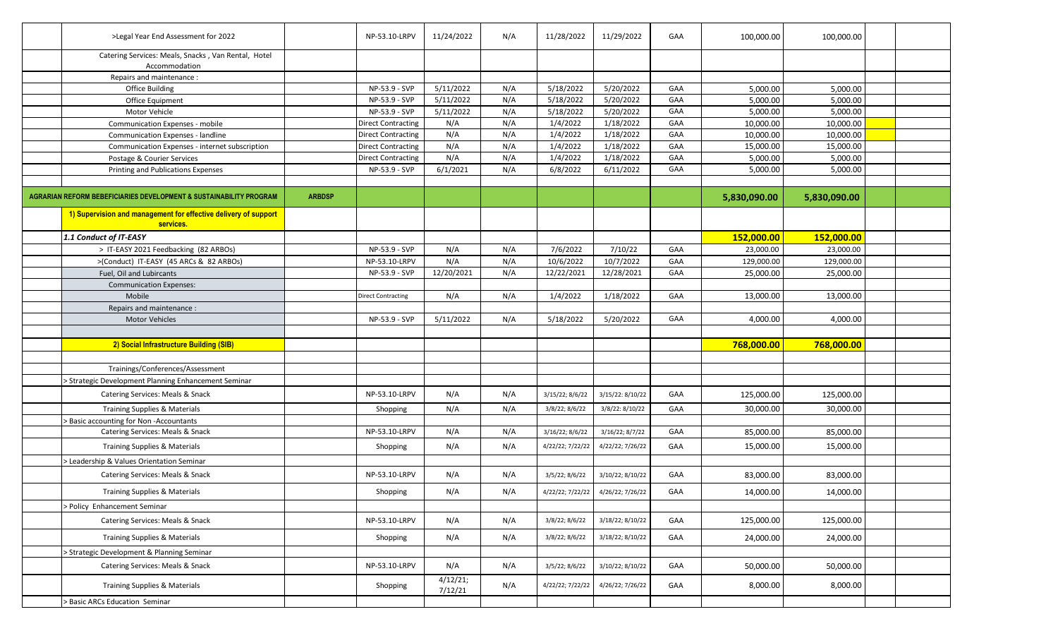| >Legal Year End Assessment for 2022                                          |               | NP-53.10-LRPV             | 11/24/2022          | N/A | 11/28/2022       | 11/29/2022                        | GAA | 100,000.00   | 100,000.00   |  |
|------------------------------------------------------------------------------|---------------|---------------------------|---------------------|-----|------------------|-----------------------------------|-----|--------------|--------------|--|
| Catering Services: Meals, Snacks, Van Rental, Hotel<br>Accommodation         |               |                           |                     |     |                  |                                   |     |              |              |  |
| Repairs and maintenance :                                                    |               |                           |                     |     |                  |                                   |     |              |              |  |
| <b>Office Building</b>                                                       |               | NP-53.9 - SVP             | 5/11/2022           | N/A | 5/18/2022        | 5/20/2022                         | GAA | 5,000.00     | 5,000.00     |  |
| Office Equipment                                                             |               | NP-53.9 - SVP             | 5/11/2022           | N/A | 5/18/2022        | 5/20/2022                         | GAA | 5,000.00     | 5,000.00     |  |
| Motor Vehicle                                                                |               | NP-53.9 - SVP             | 5/11/2022           | N/A | 5/18/2022        | 5/20/2022                         | GAA | 5,000.00     | 5,000.00     |  |
| Communication Expenses - mobile                                              |               | <b>Direct Contracting</b> | N/A                 | N/A | 1/4/2022         | 1/18/2022                         | GAA | 10,000.00    | 10,000.00    |  |
| Communication Expenses - landline                                            |               | <b>Direct Contracting</b> | N/A                 | N/A | 1/4/2022         | 1/18/2022                         | GAA | 10,000.00    | 10,000.00    |  |
| Communication Expenses - internet subscription                               |               | <b>Direct Contracting</b> | N/A                 | N/A | 1/4/2022         | 1/18/2022                         | GAA | 15,000.00    | 15,000.00    |  |
| Postage & Courier Services                                                   |               | <b>Direct Contracting</b> | N/A                 | N/A | 1/4/2022         | 1/18/2022                         | GAA | 5,000.00     | 5,000.00     |  |
| Printing and Publications Expenses                                           |               | NP-53.9 - SVP             | 6/1/2021            | N/A | 6/8/2022         | 6/11/2022                         | GAA | 5,000.00     | 5,000.00     |  |
|                                                                              |               |                           |                     |     |                  |                                   |     |              |              |  |
| AGRARIAN REFORM BEBEFICIARIES DEVELOPMENT & SUSTAINABILITY PROGRAM           | <b>ARBDSP</b> |                           |                     |     |                  |                                   |     | 5,830,090.00 | 5,830,090.00 |  |
| 1) Supervision and management for effective delivery of support<br>services. |               |                           |                     |     |                  |                                   |     |              |              |  |
| 1.1 Conduct of IT-EASY                                                       |               |                           |                     |     |                  |                                   |     | 152,000.00   | 152,000.00   |  |
| > IT-EASY 2021 Feedbacking (82 ARBOs)                                        |               | NP-53.9 - SVP             | N/A                 | N/A | 7/6/2022         | 7/10/22                           | GAA | 23,000.00    | 23,000.00    |  |
| >(Conduct) IT-EASY (45 ARCs & 82 ARBOs)                                      |               | NP-53.10-LRPV             | N/A                 | N/A | 10/6/2022        | 10/7/2022                         | GAA | 129,000.00   | 129,000.00   |  |
| Fuel, Oil and Lubircants                                                     |               | NP-53.9 - SVP             | 12/20/2021          | N/A | 12/22/2021       | 12/28/2021                        | GAA | 25,000.00    | 25,000.00    |  |
| <b>Communication Expenses:</b>                                               |               |                           |                     |     |                  |                                   |     |              |              |  |
| Mobile                                                                       |               | Direct Contracting        | N/A                 | N/A | 1/4/2022         | 1/18/2022                         | GAA | 13,000.00    | 13,000.00    |  |
| Repairs and maintenance:                                                     |               |                           |                     |     |                  |                                   |     |              |              |  |
| <b>Motor Vehicles</b>                                                        |               | NP-53.9 - SVP             | 5/11/2022           | N/A | 5/18/2022        | 5/20/2022                         | GAA | 4,000.00     | 4,000.00     |  |
|                                                                              |               |                           |                     |     |                  |                                   |     |              |              |  |
| 2) Social Infrastructure Building (SIB)                                      |               |                           |                     |     |                  |                                   |     | 768,000.00   | 768,000.00   |  |
|                                                                              |               |                           |                     |     |                  |                                   |     |              |              |  |
| Trainings/Conferences/Assessment                                             |               |                           |                     |     |                  |                                   |     |              |              |  |
| > Strategic Development Planning Enhancement Seminar                         |               |                           |                     |     |                  |                                   |     |              |              |  |
| Catering Services: Meals & Snack                                             |               | NP-53.10-LRPV             | N/A                 | N/A | 3/15/22; 8/6/22  | 3/15/22: 8/10/22                  | GAA | 125,000.00   | 125,000.00   |  |
| <b>Training Supplies &amp; Materials</b>                                     |               |                           | N/A                 | N/A | 3/8/22; 8/6/22   | 3/8/22: 8/10/22                   | GAA | 30,000.00    | 30,000.00    |  |
| > Basic accounting for Non-Accountants                                       |               | Shopping                  |                     |     |                  |                                   |     |              |              |  |
| Catering Services: Meals & Snack                                             |               | NP-53.10-LRPV             | N/A                 | N/A | 3/16/22; 8/6/22  | 3/16/22; 8/7/22                   | GAA | 85,000.00    | 85,000.00    |  |
|                                                                              |               |                           |                     |     |                  |                                   |     |              |              |  |
| <b>Training Supplies &amp; Materials</b>                                     |               | Shopping                  | N/A                 | N/A | 4/22/22; 7/22/22 | 4/22/22; 7/26/22                  | GAA | 15,000.00    | 15,000.00    |  |
| > Leadership & Values Orientation Seminar                                    |               |                           |                     |     |                  |                                   |     |              |              |  |
| Catering Services: Meals & Snack                                             |               | NP-53.10-LRPV             | N/A                 | N/A | 3/5/22; 8/6/22   | 3/10/22; 8/10/22                  | GAA | 83,000.00    | 83,000.00    |  |
| Training Supplies & Materials                                                |               | Shopping                  | N/A                 | N/A |                  | 4/22/22; 7/22/22 4/26/22; 7/26/22 | GAA | 14,000.00    | 14,000.00    |  |
| > Policy Enhancement Seminar                                                 |               |                           |                     |     |                  |                                   |     |              |              |  |
| Catering Services: Meals & Snack                                             |               | NP-53.10-LRPV             | N/A                 | N/A | 3/8/22; 8/6/22   | 3/18/22; 8/10/22                  | GAA | 125,000.00   | 125,000.00   |  |
| Training Supplies & Materials                                                |               | Shopping                  | N/A                 | N/A | 3/8/22; 8/6/22   | 3/18/22; 8/10/22                  | GAA | 24,000.00    | 24,000.00    |  |
| > Strategic Development & Planning Seminar                                   |               |                           |                     |     |                  |                                   |     |              |              |  |
| Catering Services: Meals & Snack                                             |               | NP-53.10-LRPV             | N/A                 | N/A | 3/5/22; 8/6/22   | 3/10/22; 8/10/22                  | GAA | 50,000.00    | 50,000.00    |  |
| Training Supplies & Materials                                                |               | Shopping                  | 4/12/21;<br>7/12/21 | N/A | 4/22/22; 7/22/22 | 4/26/22; 7/26/22                  | GAA | 8,000.00     | 8,000.00     |  |
| <b>Basic ARCs Education Seminar</b>                                          |               |                           |                     |     |                  |                                   |     |              |              |  |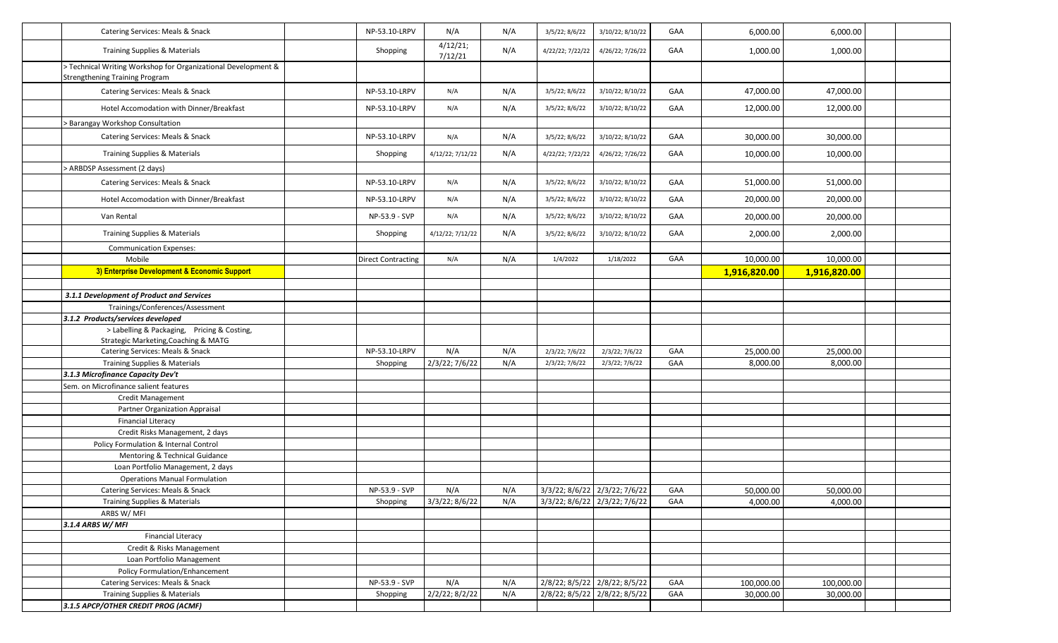| Catering Services: Meals & Snack                                                                       | NP-53.10-LRPV             | N/A                 | N/A | 3/5/22; 8/6/22   | 3/10/22; 8/10/22              | GAA | 6,000.00     | 6,000.00     |  |
|--------------------------------------------------------------------------------------------------------|---------------------------|---------------------|-----|------------------|-------------------------------|-----|--------------|--------------|--|
| Training Supplies & Materials                                                                          | Shopping                  | 4/12/21;<br>7/12/21 | N/A | 4/22/22; 7/22/22 | 4/26/22; 7/26/22              | GAA | 1,000.00     | 1,000.00     |  |
| > Technical Writing Workshop for Organizational Development &<br><b>Strengthening Training Program</b> |                           |                     |     |                  |                               |     |              |              |  |
| Catering Services: Meals & Snack                                                                       | NP-53.10-LRPV             | N/A                 | N/A | 3/5/22; 8/6/22   | 3/10/22; 8/10/22              | GAA | 47,000.00    | 47,000.00    |  |
| Hotel Accomodation with Dinner/Breakfast                                                               | NP-53.10-LRPV             | N/A                 | N/A | 3/5/22; 8/6/22   | 3/10/22; 8/10/22              | GAA | 12,000.00    | 12,000.00    |  |
| > Barangay Workshop Consultation                                                                       |                           |                     |     |                  |                               |     |              |              |  |
| Catering Services: Meals & Snack                                                                       | NP-53.10-LRPV             | N/A                 | N/A | 3/5/22; 8/6/22   | 3/10/22; 8/10/22              | GAA | 30,000.00    | 30,000.00    |  |
| <b>Training Supplies &amp; Materials</b>                                                               | Shopping                  | 4/12/22; 7/12/22    | N/A | 4/22/22; 7/22/22 | 4/26/22; 7/26/22              | GAA | 10,000.00    | 10,000.00    |  |
| > ARBDSP Assessment (2 days)                                                                           |                           |                     |     |                  |                               |     |              |              |  |
| Catering Services: Meals & Snack                                                                       | NP-53.10-LRPV             | N/A                 | N/A | 3/5/22; 8/6/22   | 3/10/22; 8/10/22              | GAA | 51,000.00    | 51,000.00    |  |
| Hotel Accomodation with Dinner/Breakfast                                                               | NP-53.10-LRPV             | N/A                 | N/A | 3/5/22; 8/6/22   | 3/10/22; 8/10/22              | GAA | 20,000.00    | 20,000.00    |  |
| Van Rental                                                                                             | NP-53.9 - SVP             | N/A                 | N/A | 3/5/22; 8/6/22   | 3/10/22; 8/10/22              | GAA | 20,000.00    | 20,000.00    |  |
| <b>Training Supplies &amp; Materials</b>                                                               | Shopping                  | 4/12/22; 7/12/22    | N/A | 3/5/22; 8/6/22   | 3/10/22; 8/10/22              | GAA | 2,000.00     | 2,000.00     |  |
| <b>Communication Expenses:</b>                                                                         |                           |                     |     |                  |                               |     |              |              |  |
| Mobile                                                                                                 | <b>Direct Contracting</b> | N/A                 | N/A | 1/4/2022         | 1/18/2022                     | GAA | 10,000.00    | 10,000.00    |  |
| 3) Enterprise Development & Economic Support                                                           |                           |                     |     |                  |                               |     | 1,916,820.00 | 1,916,820.00 |  |
|                                                                                                        |                           |                     |     |                  |                               |     |              |              |  |
| 3.1.1 Development of Product and Services                                                              |                           |                     |     |                  |                               |     |              |              |  |
| Trainings/Conferences/Assessment                                                                       |                           |                     |     |                  |                               |     |              |              |  |
| 3.1.2 Products/services developed                                                                      |                           |                     |     |                  |                               |     |              |              |  |
| > Labelling & Packaging, Pricing & Costing,                                                            |                           |                     |     |                  |                               |     |              |              |  |
| Strategic Marketing, Coaching & MATG                                                                   |                           |                     |     |                  |                               |     |              |              |  |
| Catering Services: Meals & Snack                                                                       | NP-53.10-LRPV             | N/A                 | N/A | 2/3/22; 7/6/22   | 2/3/22; 7/6/22                | GAA | 25,000.00    | 25,000.00    |  |
| <b>Training Supplies &amp; Materials</b>                                                               | Shopping                  | 2/3/22; 7/6/22      | N/A | 2/3/22; 7/6/22   | 2/3/22; 7/6/22                | GAA | 8,000.00     | 8,000.00     |  |
| 3.1.3 Microfinance Capacity Dev't                                                                      |                           |                     |     |                  |                               |     |              |              |  |
| Sem. on Microfinance salient features                                                                  |                           |                     |     |                  |                               |     |              |              |  |
| <b>Credit Management</b>                                                                               |                           |                     |     |                  |                               |     |              |              |  |
| Partner Organization Appraisal                                                                         |                           |                     |     |                  |                               |     |              |              |  |
| <b>Financial Literacy</b>                                                                              |                           |                     |     |                  |                               |     |              |              |  |
| Credit Risks Management, 2 days                                                                        |                           |                     |     |                  |                               |     |              |              |  |
| Policy Formulation & Internal Control                                                                  |                           |                     |     |                  |                               |     |              |              |  |
| Mentoring & Technical Guidance                                                                         |                           |                     |     |                  |                               |     |              |              |  |
| Loan Portfolio Management, 2 days                                                                      |                           |                     |     |                  |                               |     |              |              |  |
| <b>Operations Manual Formulation</b>                                                                   |                           |                     |     |                  |                               |     |              |              |  |
| Catering Services: Meals & Snack                                                                       | NP-53.9 - SVP             | N/A                 | N/A |                  | 3/3/22; 8/6/22 2/3/22; 7/6/22 | GAA | 50,000.00    | 50,000.00    |  |
| <b>Training Supplies &amp; Materials</b>                                                               | Shopping                  | $3/3/22$ ; 8/6/22   | N/A |                  | 3/3/22; 8/6/22 2/3/22; 7/6/22 | GAA | 4,000.00     | 4,000.00     |  |
| ARBS W/MFI                                                                                             |                           |                     |     |                  |                               |     |              |              |  |
| 3.1.4 ARBS W/ MFI<br><b>Financial Literacy</b>                                                         |                           |                     |     |                  |                               |     |              |              |  |
| Credit & Risks Management                                                                              |                           |                     |     |                  |                               |     |              |              |  |
|                                                                                                        |                           |                     |     |                  |                               |     |              |              |  |
| Loan Portfolio Management                                                                              |                           |                     |     |                  |                               |     |              |              |  |
| Policy Formulation/Enhancement                                                                         |                           |                     |     |                  |                               |     |              |              |  |
| Catering Services: Meals & Snack                                                                       | NP-53.9 - SVP             | N/A                 | N/A |                  | 2/8/22; 8/5/22 2/8/22; 8/5/22 | GAA | 100,000.00   | 100,000.00   |  |
| Training Supplies & Materials                                                                          | Shopping                  | 2/2/22; 8/2/22      | N/A |                  | 2/8/22; 8/5/22 2/8/22; 8/5/22 | GAA | 30,000.00    | 30,000.00    |  |
| 3.1.5 APCP/OTHER CREDIT PROG (ACMF)                                                                    |                           |                     |     |                  |                               |     |              |              |  |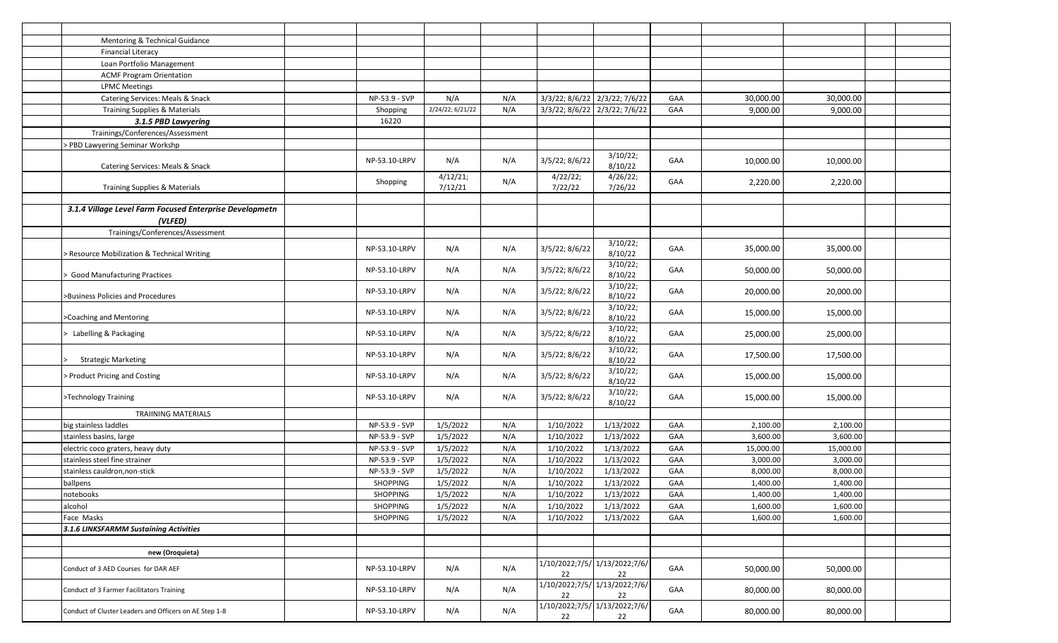| Mentoring & Technical Guidance                                     |                 |                     |     |                     |                                     |     |           |           |  |
|--------------------------------------------------------------------|-----------------|---------------------|-----|---------------------|-------------------------------------|-----|-----------|-----------|--|
| <b>Financial Literacy</b>                                          |                 |                     |     |                     |                                     |     |           |           |  |
| Loan Portfolio Management                                          |                 |                     |     |                     |                                     |     |           |           |  |
| <b>ACMF Program Orientation</b>                                    |                 |                     |     |                     |                                     |     |           |           |  |
| <b>LPMC Meetings</b>                                               |                 |                     |     |                     |                                     |     |           |           |  |
| Catering Services: Meals & Snack                                   | NP-53.9 - SVP   | N/A                 | N/A |                     | 3/3/22; 8/6/22 2/3/22; 7/6/22       | GAA | 30,000.00 | 30,000.00 |  |
| <b>Training Supplies &amp; Materials</b>                           | Shopping        | 2/24/22; 6/21/22    | N/A |                     | 3/3/22; 8/6/22 2/3/22; 7/6/22       | GAA | 9,000.00  | 9,000.00  |  |
| 3.1.5 PBD Lawyering                                                | 16220           |                     |     |                     |                                     |     |           |           |  |
| Trainings/Conferences/Assessment                                   |                 |                     |     |                     |                                     |     |           |           |  |
| > PBD Lawyering Seminar Workshp                                    |                 |                     |     |                     |                                     |     |           |           |  |
| Catering Services: Meals & Snack                                   | NP-53.10-LRPV   | N/A                 | N/A | 3/5/22; 8/6/22      | 3/10/22;<br>8/10/22                 | GAA | 10,000.00 | 10,000.00 |  |
| Training Supplies & Materials                                      | Shopping        | 4/12/21;<br>7/12/21 | N/A | 4/22/22;<br>7/22/22 | 4/26/22;<br>7/26/22                 | GAA | 2,220.00  | 2,220.00  |  |
|                                                                    |                 |                     |     |                     |                                     |     |           |           |  |
| 3.1.4 Village Level Farm Focused Enterprise Developmetn<br>(VLFED) |                 |                     |     |                     |                                     |     |           |           |  |
| Trainings/Conferences/Assessment                                   |                 |                     |     |                     |                                     |     |           |           |  |
| Resource Mobilization & Technical Writing                          | NP-53.10-LRPV   | N/A                 | N/A | 3/5/22; 8/6/22      | 3/10/22;<br>8/10/22                 | GAA | 35,000.00 | 35,000.00 |  |
| <b>Good Manufacturing Practices</b>                                | NP-53.10-LRPV   | N/A                 | N/A | 3/5/22; 8/6/22      | 3/10/22;<br>8/10/22                 | GAA | 50,000.00 | 50,000.00 |  |
| >Business Policies and Procedures                                  | NP-53.10-LRPV   | N/A                 | N/A | 3/5/22; 8/6/22      | 3/10/22;<br>8/10/22                 | GAA | 20,000.00 | 20,000.00 |  |
| >Coaching and Mentoring                                            | NP-53.10-LRPV   | N/A                 | N/A | 3/5/22; 8/6/22      | 3/10/22;<br>8/10/22                 | GAA | 15,000.00 | 15,000.00 |  |
| Labelling & Packaging                                              | NP-53.10-LRPV   | N/A                 | N/A | 3/5/22; 8/6/22      | 3/10/22;<br>8/10/22                 | GAA | 25,000.00 | 25,000.00 |  |
| <b>Strategic Marketing</b>                                         | NP-53.10-LRPV   | N/A                 | N/A | 3/5/22; 8/6/22      | 3/10/22;<br>8/10/22                 | GAA | 17,500.00 | 17,500.00 |  |
| Product Pricing and Costing                                        | NP-53.10-LRPV   | N/A                 | N/A | 3/5/22; 8/6/22      | 3/10/22;<br>8/10/22                 | GAA | 15,000.00 | 15,000.00 |  |
| >Technology Training                                               | NP-53.10-LRPV   | N/A                 | N/A | 3/5/22; 8/6/22      | 3/10/22;<br>8/10/22                 | GAA | 15,000.00 | 15,000.00 |  |
| <b>TRAIINING MATERIALS</b>                                         |                 |                     |     |                     |                                     |     |           |           |  |
| big stainless laddles                                              | NP-53.9 - SVP   | 1/5/2022            | N/A | 1/10/2022           | 1/13/2022                           | GAA | 2,100.00  | 2,100.00  |  |
| stainless basins, large                                            | NP-53.9 - SVP   | 1/5/2022            | N/A | 1/10/2022           | 1/13/2022                           | GAA | 3,600.00  | 3,600.00  |  |
| electric coco graters, heavy duty                                  | NP-53.9 - SVP   | 1/5/2022            | N/A | 1/10/2022           | 1/13/2022                           | GAA | 15,000.00 | 15,000.00 |  |
| stainless steel fine strainer                                      | NP-53.9 - SVP   | 1/5/2022            | N/A | 1/10/2022           | 1/13/2022                           | GAA | 3,000.00  | 3,000.00  |  |
| stainless cauldron, non-stick                                      | NP-53.9 - SVP   | 1/5/2022            | N/A | 1/10/2022           | 1/13/2022                           | GAA | 8,000.00  | 8,000.00  |  |
| ballpens                                                           | <b>SHOPPING</b> | 1/5/2022            | N/A | 1/10/2022           | 1/13/2022                           | GAA | 1,400.00  | 1,400.00  |  |
| notebooks                                                          | SHOPPING        | 1/5/2022            | N/A | 1/10/2022           | 1/13/2022                           | GAA | 1,400.00  | 1,400.00  |  |
| alcohol                                                            | <b>SHOPPING</b> | 1/5/2022            | N/A | 1/10/2022           | 1/13/2022                           | GAA | 1,600.00  | 1,600.00  |  |
| Face Masks                                                         | <b>SHOPPING</b> | 1/5/2022            | N/A | 1/10/2022           | 1/13/2022                           | GAA | 1,600.00  | 1,600.00  |  |
| 3.1.6 LINKSFARMM Sustaining Activities                             |                 |                     |     |                     |                                     |     |           |           |  |
|                                                                    |                 |                     |     |                     |                                     |     |           |           |  |
| new (Oroquieta)                                                    |                 |                     |     |                     |                                     |     |           |           |  |
| Conduct of 3 AED Courses for DAR AEF                               | NP-53.10-LRPV   | N/A                 | N/A | 22                  | 1/10/2022;7/5/ 1/13/2022;7/6/<br>22 | GAA | 50,000.00 | 50,000.00 |  |
| Conduct of 3 Farmer Facilitators Training                          | NP-53.10-LRPV   | N/A                 | N/A | 22                  | 1/10/2022;7/5/ 1/13/2022;7/6/<br>22 | GAA | 80,000.00 | 80,000.00 |  |
| Conduct of Cluster Leaders and Officers on AE Step 1-8             | NP-53.10-LRPV   | N/A                 | N/A | 22                  | 1/10/2022;7/5/ 1/13/2022;7/6/<br>22 | GAA | 80,000.00 | 80,000.00 |  |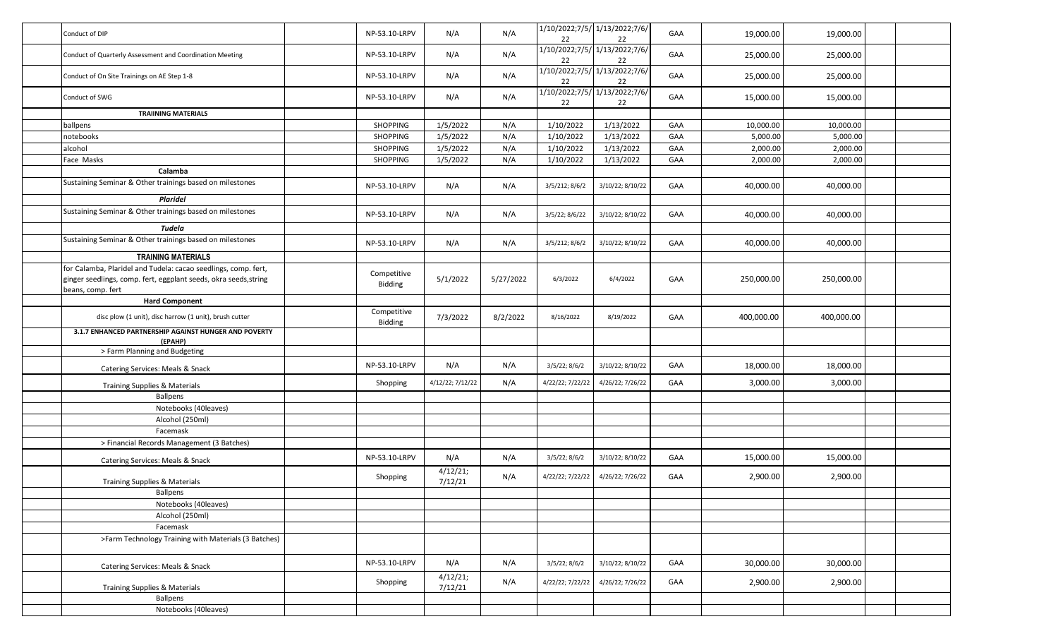| Conduct of DIP                                                                                                                                          | NP-53.10-LRPV          | N/A                 | N/A       | 22               | 1/10/2022;7/5/ 1/13/2022;7/6/<br>22 | GAA | 19,000.00  | 19,000.00  |  |
|---------------------------------------------------------------------------------------------------------------------------------------------------------|------------------------|---------------------|-----------|------------------|-------------------------------------|-----|------------|------------|--|
| Conduct of Quarterly Assessment and Coordination Meeting                                                                                                | NP-53.10-LRPV          | N/A                 | N/A       | 22               | 1/10/2022;7/5/ 1/13/2022;7/6/<br>22 | GAA | 25,000.00  | 25,000.00  |  |
| Conduct of On Site Trainings on AE Step 1-8                                                                                                             | NP-53.10-LRPV          | N/A                 | N/A       | 22               | 1/10/2022;7/5/ 1/13/2022;7/6/<br>22 | GAA | 25,000.00  | 25,000.00  |  |
| Conduct of SWG                                                                                                                                          | NP-53.10-LRPV          | N/A                 | N/A       | 22               | 1/10/2022;7/5/ 1/13/2022;7/6/<br>22 | GAA | 15,000.00  | 15,000.00  |  |
| <b>TRAIINING MATERIALS</b>                                                                                                                              |                        |                     |           |                  |                                     |     |            |            |  |
| ballpens                                                                                                                                                | <b>SHOPPING</b>        | 1/5/2022            | N/A       | 1/10/2022        | 1/13/2022                           | GAA | 10,000.00  | 10,000.00  |  |
| <b>notebooks</b>                                                                                                                                        | <b>SHOPPING</b>        | 1/5/2022            | N/A       | 1/10/2022        | 1/13/2022                           | GAA | 5,000.00   | 5,000.00   |  |
| alcohol                                                                                                                                                 | <b>SHOPPING</b>        | 1/5/2022            | N/A       | 1/10/2022        | 1/13/2022                           | GAA | 2,000.00   | 2,000.00   |  |
| Face Masks                                                                                                                                              | <b>SHOPPING</b>        | 1/5/2022            | N/A       | 1/10/2022        | 1/13/2022                           | GAA | 2,000.00   | 2,000.00   |  |
| Calamba                                                                                                                                                 |                        |                     |           |                  |                                     |     |            |            |  |
| Sustaining Seminar & Other trainings based on milestones                                                                                                | NP-53.10-LRPV          | N/A                 | N/A       | 3/5/212; 8/6/2   | 3/10/22; 8/10/22                    | GAA | 40,000.00  | 40,000.00  |  |
| <b>Plaridel</b>                                                                                                                                         |                        |                     |           |                  |                                     |     |            |            |  |
| Sustaining Seminar & Other trainings based on milestones                                                                                                | NP-53.10-LRPV          | N/A                 | N/A       | 3/5/22; 8/6/22   | 3/10/22; 8/10/22                    | GAA | 40,000.00  | 40,000.00  |  |
| Tudela                                                                                                                                                  |                        |                     |           |                  |                                     |     |            |            |  |
| Sustaining Seminar & Other trainings based on milestones                                                                                                | NP-53.10-LRPV          | N/A                 | N/A       | 3/5/212; 8/6/2   | 3/10/22; 8/10/22                    | GAA | 40,000.00  | 40,000.00  |  |
| <b>TRAINING MATERIALS</b>                                                                                                                               |                        |                     |           |                  |                                     |     |            |            |  |
| for Calamba, Plaridel and Tudela: cacao seedlings, comp. fert,<br>ginger seedlings, comp. fert, eggplant seeds, okra seeds, string<br>beans, comp. fert | Competitive<br>Bidding | 5/1/2022            | 5/27/2022 | 6/3/2022         | 6/4/2022                            | GAA | 250,000.00 | 250,000.00 |  |
| <b>Hard Component</b>                                                                                                                                   |                        |                     |           |                  |                                     |     |            |            |  |
| disc plow (1 unit), disc harrow (1 unit), brush cutter                                                                                                  | Competitive<br>Bidding | 7/3/2022            | 8/2/2022  | 8/16/2022        | 8/19/2022                           | GAA | 400,000.00 | 400,000.00 |  |
| 3.1.7 ENHANCED PARTNERSHIP AGAINST HUNGER AND POVERTY<br>(EPAHP)                                                                                        |                        |                     |           |                  |                                     |     |            |            |  |
| > Farm Planning and Budgeting                                                                                                                           |                        |                     |           |                  |                                     |     |            |            |  |
| Catering Services: Meals & Snack                                                                                                                        | NP-53.10-LRPV          | N/A                 | N/A       | 3/5/22; 8/6/2    | 3/10/22; 8/10/22                    | GAA | 18,000.00  | 18,000.00  |  |
| <b>Training Supplies &amp; Materials</b>                                                                                                                | Shopping               | 4/12/22; 7/12/22    | N/A       | 4/22/22; 7/22/22 | 4/26/22; 7/26/22                    | GAA | 3,000.00   | 3,000.00   |  |
| <b>Ballpens</b>                                                                                                                                         |                        |                     |           |                  |                                     |     |            |            |  |
| Notebooks (40leaves)                                                                                                                                    |                        |                     |           |                  |                                     |     |            |            |  |
| Alcohol (250ml)                                                                                                                                         |                        |                     |           |                  |                                     |     |            |            |  |
| Facemask                                                                                                                                                |                        |                     |           |                  |                                     |     |            |            |  |
| > Financial Records Management (3 Batches)                                                                                                              |                        |                     |           |                  |                                     |     |            |            |  |
| Catering Services: Meals & Snack                                                                                                                        | NP-53.10-LRPV          | N/A                 | N/A       | 3/5/22; 8/6/2    | 3/10/22; 8/10/22                    | GAA | 15,000.00  | 15,000.00  |  |
| Training Supplies & Materials                                                                                                                           | Shopping               | 4/12/21;<br>7/12/21 | N/A       | 4/22/22; 7/22/22 | 4/26/22; 7/26/22                    | GAA | 2,900.00   | 2,900.00   |  |
| Ballpens                                                                                                                                                |                        |                     |           |                  |                                     |     |            |            |  |
| Notebooks (40leaves)                                                                                                                                    |                        |                     |           |                  |                                     |     |            |            |  |
| Alcohol (250ml)                                                                                                                                         |                        |                     |           |                  |                                     |     |            |            |  |
| Facemask                                                                                                                                                |                        |                     |           |                  |                                     |     |            |            |  |
| >Farm Technology Training with Materials (3 Batches)                                                                                                    |                        |                     |           |                  |                                     |     |            |            |  |
| Catering Services: Meals & Snack                                                                                                                        | NP-53.10-LRPV          | N/A                 | N/A       | 3/5/22; 8/6/2    | 3/10/22; 8/10/22                    | GAA | 30,000.00  | 30,000.00  |  |
| Training Supplies & Materials                                                                                                                           | Shopping               | 4/12/21;<br>7/12/21 | N/A       | 4/22/22; 7/22/22 | 4/26/22; 7/26/22                    | GAA | 2,900.00   | 2,900.00   |  |
| <b>Ballpens</b>                                                                                                                                         |                        |                     |           |                  |                                     |     |            |            |  |
| Notebooks (40leaves)                                                                                                                                    |                        |                     |           |                  |                                     |     |            |            |  |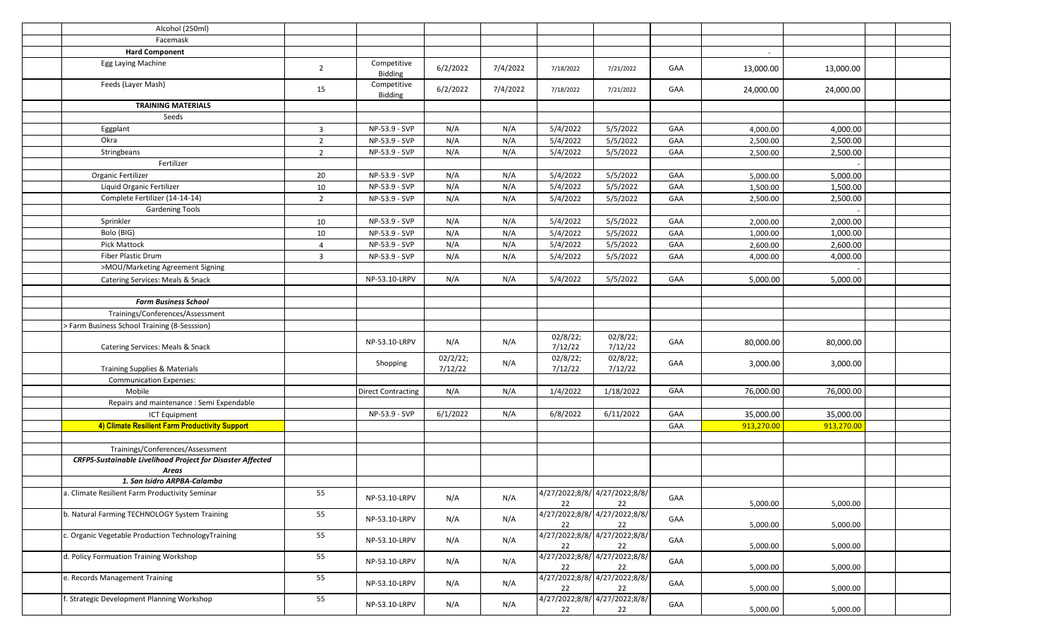| Alcohol (250ml)                                                            |                         |                           |                     |          |                     |                                     |     |                |            |  |
|----------------------------------------------------------------------------|-------------------------|---------------------------|---------------------|----------|---------------------|-------------------------------------|-----|----------------|------------|--|
| Facemask                                                                   |                         |                           |                     |          |                     |                                     |     |                |            |  |
| <b>Hard Component</b>                                                      |                         |                           |                     |          |                     |                                     |     | $\blacksquare$ |            |  |
| Egg Laying Machine                                                         | $\overline{2}$          | Competitive<br>Bidding    | 6/2/2022            | 7/4/2022 | 7/18/2022           | 7/21/2022                           | GAA | 13,000.00      | 13,000.00  |  |
| Feeds (Layer Mash)                                                         | 15                      | Competitive<br>Bidding    | 6/2/2022            | 7/4/2022 | 7/18/2022           | 7/21/2022                           | GAA | 24,000.00      | 24,000.00  |  |
| <b>TRAINING MATERIALS</b>                                                  |                         |                           |                     |          |                     |                                     |     |                |            |  |
| Seeds                                                                      |                         |                           |                     |          |                     |                                     |     |                |            |  |
| Eggplant                                                                   | $\overline{\mathbf{3}}$ | NP-53.9 - SVP             | N/A                 | N/A      | 5/4/2022            | 5/5/2022                            | GAA | 4,000.00       | 4,000.00   |  |
| Okra                                                                       | $\overline{2}$          | NP-53.9 - SVP             | N/A                 | N/A      | 5/4/2022            | 5/5/2022                            | GAA | 2,500.00       | 2,500.00   |  |
| Stringbeans                                                                | $\overline{2}$          | NP-53.9 - SVP             | N/A                 | N/A      | 5/4/2022            | 5/5/2022                            | GAA | 2,500.00       | 2,500.00   |  |
| Fertilizer                                                                 |                         |                           |                     |          |                     |                                     |     |                |            |  |
| Organic Fertilizer                                                         | 20                      | NP-53.9 - SVP             | N/A                 | N/A      | 5/4/2022            | 5/5/2022                            | GAA | 5,000.00       | 5,000.00   |  |
| Liquid Organic Fertilizer                                                  | 10                      | NP-53.9 - SVP             | N/A                 | N/A      | 5/4/2022            | 5/5/2022                            | GAA | 1,500.00       | 1,500.00   |  |
| Complete Fertilizer (14-14-14)                                             | $\overline{2}$          | NP-53.9 - SVP             | N/A                 | N/A      | 5/4/2022            | 5/5/2022                            | GAA | 2,500.00       | 2,500.00   |  |
| <b>Gardening Tools</b>                                                     |                         |                           |                     |          |                     |                                     |     |                |            |  |
| Sprinkler                                                                  | 10                      | NP-53.9 - SVP             | N/A                 | N/A      | 5/4/2022            | 5/5/2022                            | GAA | 2,000.00       | 2,000.00   |  |
| Bolo (BIG)                                                                 | 10                      | NP-53.9 - SVP             | N/A                 | N/A      | 5/4/2022            | 5/5/2022                            | GAA | 1,000.00       | 1,000.00   |  |
| Pick Mattock                                                               | $\overline{4}$          | NP-53.9 - SVP             | N/A                 | N/A      | 5/4/2022            | 5/5/2022                            | GAA | 2,600.00       | 2,600.00   |  |
| Fiber Plastic Drum                                                         | $\overline{\mathbf{3}}$ | NP-53.9 - SVP             | N/A                 | N/A      | 5/4/2022            | 5/5/2022                            | GAA | 4,000.00       | 4,000.00   |  |
| >MOU/Marketing Agreement Signing                                           |                         |                           |                     |          |                     |                                     |     |                |            |  |
| Catering Services: Meals & Snack                                           |                         | NP-53.10-LRPV             | N/A                 | N/A      | 5/4/2022            | 5/5/2022                            | GAA | 5,000.00       | 5,000.00   |  |
|                                                                            |                         |                           |                     |          |                     |                                     |     |                |            |  |
| <b>Farm Business School</b>                                                |                         |                           |                     |          |                     |                                     |     |                |            |  |
| Trainings/Conferences/Assessment                                           |                         |                           |                     |          |                     |                                     |     |                |            |  |
| > Farm Business School Training (8-Sesssion)                               |                         |                           |                     |          |                     |                                     |     |                |            |  |
| Catering Services: Meals & Snack                                           |                         | NP-53.10-LRPV             | N/A                 | N/A      | 02/8/22;<br>7/12/22 | 02/8/22;<br>7/12/22                 | GAA | 80,000.00      | 80,000.00  |  |
| Training Supplies & Materials                                              |                         | Shopping                  | 02/2/22;<br>7/12/22 | N/A      | 02/8/22;<br>7/12/22 | 02/8/22;<br>7/12/22                 | GAA | 3,000.00       | 3,000.00   |  |
| <b>Communication Expenses:</b>                                             |                         |                           |                     |          |                     |                                     |     |                |            |  |
| Mobile                                                                     |                         | <b>Direct Contracting</b> | N/A                 | N/A      | 1/4/2022            | 1/18/2022                           | GAA | 76,000.00      | 76,000.00  |  |
| Repairs and maintenance : Semi Expendable                                  |                         |                           |                     |          |                     |                                     |     |                |            |  |
| ICT Equipment                                                              |                         | NP-53.9 - SVP             | 6/1/2022            | N/A      | 6/8/2022            | 6/11/2022                           | GAA | 35,000.00      | 35,000.00  |  |
| 4) Climate Resilient Farm Productivity Support                             |                         |                           |                     |          |                     |                                     | GAA | 913,270.00     | 913,270.00 |  |
|                                                                            |                         |                           |                     |          |                     |                                     |     |                |            |  |
| Trainings/Conferences/Assessment                                           |                         |                           |                     |          |                     |                                     |     |                |            |  |
| CRFPS-Sustainable Livelihood Project for Disaster Affected<br><b>Areas</b> |                         |                           |                     |          |                     |                                     |     |                |            |  |
| 1. San Isidro ARPBA-Calamba                                                |                         |                           |                     |          |                     |                                     |     |                |            |  |
| a. Climate Resilient Farm Productivity Seminar                             | 55                      | NP-53.10-LRPV             | N/A                 | N/A      | 22                  | 4/27/2022;8/8/ 4/27/2022;8/8/<br>22 | GAA | 5,000.00       | 5,000.00   |  |
| b. Natural Farming TECHNOLOGY System Training                              | 55                      | NP-53.10-LRPV             | N/A                 | N/A      | 22                  | 4/27/2022;8/8/4/27/2022;8/8/<br>22  | GAA | 5,000.00       | 5,000.00   |  |
| c. Organic Vegetable Production TechnologyTraining                         | 55                      | NP-53.10-LRPV             | N/A                 | N/A      | 22                  | 4/27/2022;8/8/ 4/27/2022;8/8/<br>22 | GAA | 5,000.00       | 5,000.00   |  |
| d. Policy Formuation Training Workshop                                     | 55                      | NP-53.10-LRPV             | N/A                 | N/A      | 22                  | 4/27/2022;8/8/ 4/27/2022;8/8/<br>22 | GAA | 5,000.00       | 5,000.00   |  |
| e. Records Management Training                                             | 55                      | NP-53.10-LRPV             | N/A                 | N/A      | 22                  | 4/27/2022;8/8/ 4/27/2022;8/8/<br>22 | GAA | 5,000.00       | 5,000.00   |  |
| f. Strategic Development Planning Workshop                                 | 55                      | NP-53.10-LRPV             | N/A                 | N/A      | 22                  | 4/27/2022;8/8/ 4/27/2022;8/8/<br>22 | GAA | 5,000.00       | 5,000.00   |  |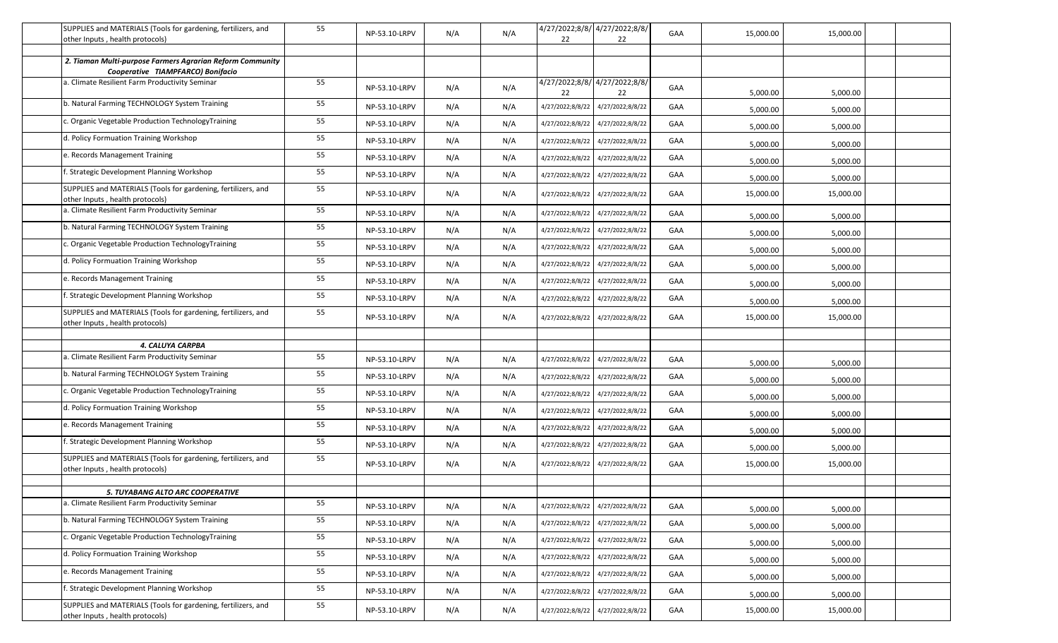| SUPPLIES and MATERIALS (Tools for gardening, fertilizers, and                                    | 55 |               |     |     |                  | 4/27/2022;8/8/ 4/27/2022;8/8/      |     |           |           |  |
|--------------------------------------------------------------------------------------------------|----|---------------|-----|-----|------------------|------------------------------------|-----|-----------|-----------|--|
| other Inputs, health protocols)                                                                  |    | NP-53.10-LRPV | N/A | N/A | 22               | 22                                 | GAA | 15,000.00 | 15,000.00 |  |
|                                                                                                  |    |               |     |     |                  |                                    |     |           |           |  |
| 2. Tiaman Multi-purpose Farmers Agrarian Reform Community<br>Cooperative TIAMPFARCO) Bonifacio   |    |               |     |     |                  |                                    |     |           |           |  |
| a. Climate Resilient Farm Productivity Seminar                                                   | 55 | NP-53.10-LRPV | N/A | N/A | 22               | 4/27/2022;8/8/4/27/2022;8/8/<br>22 | GAA | 5,000.00  | 5,000.00  |  |
| b. Natural Farming TECHNOLOGY System Training                                                    | 55 | NP-53.10-LRPV | N/A | N/A | 4/27/2022;8/8/22 | 4/27/2022;8/8/22                   | GAA | 5,000.00  | 5,000.00  |  |
| c. Organic Vegetable Production TechnologyTraining                                               | 55 | NP-53.10-LRPV | N/A | N/A | 4/27/2022;8/8/22 | 4/27/2022;8/8/22                   | GAA | 5,000.00  | 5,000.00  |  |
| d. Policy Formuation Training Workshop                                                           | 55 | NP-53.10-LRPV | N/A | N/A | 4/27/2022;8/8/22 | 4/27/2022;8/8/22                   | GAA | 5,000.00  | 5,000.00  |  |
| e. Records Management Training                                                                   | 55 | NP-53.10-LRPV | N/A | N/A | 4/27/2022;8/8/22 | 4/27/2022;8/8/22                   | GAA | 5,000.00  | 5,000.00  |  |
| f. Strategic Development Planning Workshop                                                       | 55 | NP-53.10-LRPV | N/A | N/A | 4/27/2022;8/8/22 | 4/27/2022;8/8/22                   | GAA | 5,000.00  | 5,000.00  |  |
| SUPPLIES and MATERIALS (Tools for gardening, fertilizers, and<br>other Inputs, health protocols) | 55 | NP-53.10-LRPV | N/A | N/A |                  | 4/27/2022;8/8/22 4/27/2022;8/8/22  | GAA | 15,000.00 | 15,000.00 |  |
| a. Climate Resilient Farm Productivity Seminar                                                   | 55 | NP-53.10-LRPV | N/A | N/A | 4/27/2022;8/8/22 | 4/27/2022;8/8/22                   | GAA | 5,000.00  | 5,000.00  |  |
| b. Natural Farming TECHNOLOGY System Training                                                    | 55 | NP-53.10-LRPV | N/A | N/A | 4/27/2022;8/8/22 | 4/27/2022;8/8/22                   | GAA | 5,000.00  | 5,000.00  |  |
| c. Organic Vegetable Production TechnologyTraining                                               | 55 | NP-53.10-LRPV | N/A | N/A | 4/27/2022;8/8/22 | 4/27/2022;8/8/22                   | GAA | 5,000.00  | 5,000.00  |  |
| d. Policy Formuation Training Workshop                                                           | 55 | NP-53.10-LRPV | N/A | N/A | 4/27/2022;8/8/22 | 4/27/2022;8/8/22                   | GAA | 5,000.00  | 5,000.00  |  |
| e. Records Management Training                                                                   | 55 | NP-53.10-LRPV | N/A | N/A | 4/27/2022;8/8/22 | 4/27/2022;8/8/22                   | GAA | 5,000.00  | 5,000.00  |  |
| . Strategic Development Planning Workshop                                                        | 55 | NP-53.10-LRPV | N/A | N/A |                  | 4/27/2022;8/8/22 4/27/2022;8/8/22  | GAA | 5,000.00  | 5,000.00  |  |
| SUPPLIES and MATERIALS (Tools for gardening, fertilizers, and<br>other Inputs, health protocols) | 55 | NP-53.10-LRPV | N/A | N/A |                  | 4/27/2022;8/8/22 4/27/2022;8/8/22  | GAA | 15,000.00 | 15,000.00 |  |
|                                                                                                  |    |               |     |     |                  |                                    |     |           |           |  |
| 4. CALUYA CARPBA                                                                                 |    |               |     |     |                  |                                    |     |           |           |  |
| a. Climate Resilient Farm Productivity Seminar                                                   | 55 | NP-53.10-LRPV | N/A | N/A | 4/27/2022;8/8/22 | 4/27/2022;8/8/22                   | GAA | 5,000.00  | 5,000.00  |  |
| b. Natural Farming TECHNOLOGY System Training                                                    | 55 | NP-53.10-LRPV | N/A | N/A | 4/27/2022;8/8/22 | 4/27/2022;8/8/22                   | GAA | 5,000.00  | 5,000.00  |  |
| c. Organic Vegetable Production TechnologyTraining                                               | 55 | NP-53.10-LRPV | N/A | N/A | 4/27/2022;8/8/22 | 4/27/2022;8/8/22                   | GAA | 5,000.00  | 5,000.00  |  |
| d. Policy Formuation Training Workshop                                                           | 55 | NP-53.10-LRPV | N/A | N/A | 4/27/2022;8/8/22 | 4/27/2022;8/8/22                   | GAA | 5,000.00  | 5,000.00  |  |
| e. Records Management Training                                                                   | 55 | NP-53.10-LRPV | N/A | N/A | 4/27/2022;8/8/22 | 4/27/2022;8/8/22                   | GAA | 5,000.00  | 5,000.00  |  |
| f. Strategic Development Planning Workshop                                                       | 55 | NP-53.10-LRPV | N/A | N/A | 4/27/2022;8/8/22 | 4/27/2022;8/8/22                   | GAA | 5,000.00  | 5,000.00  |  |
| SUPPLIES and MATERIALS (Tools for gardening, fertilizers, and<br>other Inputs, health protocols) | 55 | NP-53.10-LRPV | N/A | N/A |                  | 4/27/2022;8/8/22 4/27/2022;8/8/22  | GAA | 15,000.00 | 15,000.00 |  |
|                                                                                                  |    |               |     |     |                  |                                    |     |           |           |  |
| 5. TUYABANG ALTO ARC COOPERATIVE<br>a. Climate Resilient Farm Productivity Seminar               | 55 |               |     |     |                  |                                    |     |           |           |  |
| b. Natural Farming TECHNOLOGY System Training                                                    | 55 | NP-53.10-LRPV | N/A | N/A | 4/27/2022;8/8/22 | 4/27/2022;8/8/22                   | GAA | 5,000.00  | 5,000.00  |  |
| c. Organic Vegetable Production TechnologyTraining                                               | 55 | NP-53.10-LRPV | N/A | N/A | 4/27/2022;8/8/22 | 4/27/2022;8/8/22                   | GAA | 5,000.00  | 5,000.00  |  |
| d. Policy Formuation Training Workshop                                                           | 55 | NP-53.10-LRPV | N/A | N/A | 4/27/2022;8/8/22 | 4/27/2022;8/8/22                   | GAA | 5,000.00  | 5,000.00  |  |
| e. Records Management Training                                                                   |    | NP-53.10-LRPV | N/A | N/A | 4/27/2022;8/8/22 | 4/27/2022;8/8/22                   | GAA | 5,000.00  | 5,000.00  |  |
|                                                                                                  | 55 | NP-53.10-LRPV | N/A | N/A | 4/27/2022;8/8/22 | 4/27/2022;8/8/22                   | GAA | 5,000.00  | 5,000.00  |  |
| f. Strategic Development Planning Workshop                                                       | 55 | NP-53.10-LRPV | N/A | N/A |                  | 4/27/2022;8/8/22 4/27/2022;8/8/22  | GAA | 5,000.00  | 5,000.00  |  |
| SUPPLIES and MATERIALS (Tools for gardening, fertilizers, and<br>other Inputs, health protocols) | 55 | NP-53.10-LRPV | N/A | N/A |                  | 4/27/2022;8/8/22 4/27/2022;8/8/22  | GAA | 15,000.00 | 15,000.00 |  |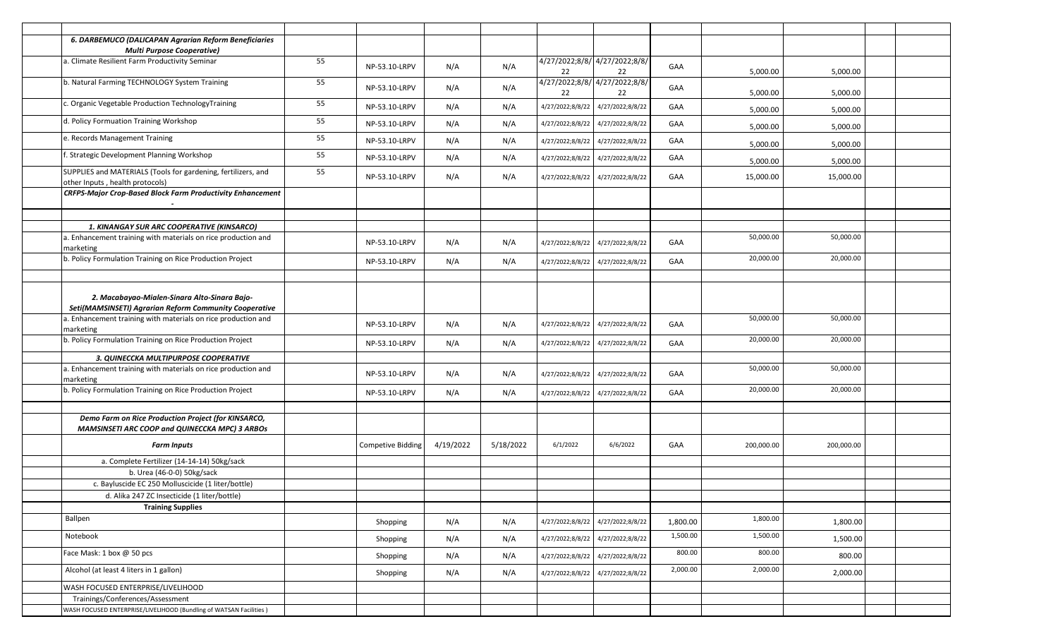| 6. DARBEMUCO (DALICAPAN Agrarian Reform Beneficiaries<br><b>Multi Purpose Cooperative)</b>             |    |                          |           |           |                  |                                     |          |            |            |  |
|--------------------------------------------------------------------------------------------------------|----|--------------------------|-----------|-----------|------------------|-------------------------------------|----------|------------|------------|--|
| a. Climate Resilient Farm Productivity Seminar                                                         | 55 | NP-53.10-LRPV            | N/A       | N/A       | 22               | 4/27/2022;8/8/ 4/27/2022;8/8/<br>22 | GAA      | 5,000.00   | 5,000.00   |  |
| b. Natural Farming TECHNOLOGY System Training                                                          | 55 | NP-53.10-LRPV            | N/A       | N/A       | 22               | 4/27/2022;8/8/ 4/27/2022;8/8/<br>22 | GAA      | 5,000.00   | 5,000.00   |  |
| c. Organic Vegetable Production TechnologyTraining                                                     | 55 | NP-53.10-LRPV            | N/A       | N/A       | 4/27/2022;8/8/22 | 4/27/2022;8/8/22                    | GAA      | 5,000.00   | 5,000.00   |  |
| d. Policy Formuation Training Workshop                                                                 | 55 | NP-53.10-LRPV            | N/A       | N/A       | 4/27/2022;8/8/22 | 4/27/2022;8/8/22                    | GAA      | 5,000.00   | 5,000.00   |  |
| e. Records Management Training                                                                         | 55 | NP-53.10-LRPV            | N/A       | N/A       | 4/27/2022;8/8/22 | 4/27/2022;8/8/22                    | GAA      | 5,000.00   | 5,000.00   |  |
| f. Strategic Development Planning Workshop                                                             | 55 | NP-53.10-LRPV            | N/A       | N/A       | 4/27/2022;8/8/22 | 4/27/2022;8/8/22                    | GAA      | 5,000.00   | 5,000.00   |  |
| SUPPLIES and MATERIALS (Tools for gardening, fertilizers, and<br>other Inputs, health protocols)       | 55 | NP-53.10-LRPV            | N/A       | N/A       |                  | 4/27/2022;8/8/22 4/27/2022;8/8/22   | GAA      | 15,000.00  | 15,000.00  |  |
| <b>CRFPS-Major Crop-Based Block Farm Productivity Enhancement</b>                                      |    |                          |           |           |                  |                                     |          |            |            |  |
| 1. KINANGAY SUR ARC COOPERATIVE (KINSARCO)                                                             |    |                          |           |           |                  |                                     |          |            |            |  |
| a. Enhancement training with materials on rice production and<br>marketing                             |    | NP-53.10-LRPV            | N/A       | N/A       | 4/27/2022;8/8/22 | 4/27/2022;8/8/22                    | GAA      | 50,000.00  | 50,000.00  |  |
| b. Policy Formulation Training on Rice Production Project                                              |    | NP-53.10-LRPV            | N/A       | N/A       | 4/27/2022;8/8/22 | 4/27/2022;8/8/22                    | GAA      | 20,000.00  | 20,000.00  |  |
|                                                                                                        |    |                          |           |           |                  |                                     |          |            |            |  |
| 2. Macabayao-Mialen-Sinara Alto-Sinara Bajo-<br>Seti(MAMSINSETI) Agrarian Reform Community Cooperative |    |                          |           |           |                  |                                     |          |            |            |  |
| a. Enhancement training with materials on rice production and<br>marketing                             |    | NP-53.10-LRPV            | N/A       | N/A       |                  | 4/27/2022;8/8/22 4/27/2022;8/8/22   | GAA      | 50,000.00  | 50,000.00  |  |
| b. Policy Formulation Training on Rice Production Project                                              |    | NP-53.10-LRPV            | N/A       | N/A       | 4/27/2022;8/8/22 | 4/27/2022;8/8/22                    | GAA      | 20,000.00  | 20,000.00  |  |
| 3. QUINECCKA MULTIPURPOSE COOPERATIVE                                                                  |    |                          |           |           |                  |                                     |          |            |            |  |
| a. Enhancement training with materials on rice production and<br>marketing                             |    | NP-53.10-LRPV            | N/A       | N/A       |                  | 4/27/2022;8/8/22 4/27/2022;8/8/22   | GAA      | 50,000.00  | 50,000.00  |  |
| b. Policy Formulation Training on Rice Production Project                                              |    | NP-53.10-LRPV            | N/A       | N/A       |                  | 4/27/2022;8/8/22 4/27/2022;8/8/22   | GAA      | 20,000.00  | 20,000.00  |  |
|                                                                                                        |    |                          |           |           |                  |                                     |          |            |            |  |
| Demo Farm on Rice Production Project (for KINSARCO,<br>MAMSINSETI ARC COOP and QUINECCKA MPC) 3 ARBOS  |    |                          |           |           |                  |                                     |          |            |            |  |
| <b>Farm Inputs</b>                                                                                     |    | <b>Competive Bidding</b> | 4/19/2022 | 5/18/2022 | 6/1/2022         | 6/6/2022                            | GAA      | 200,000.00 | 200,000.00 |  |
| a. Complete Fertilizer (14-14-14) 50kg/sack                                                            |    |                          |           |           |                  |                                     |          |            |            |  |
| b. Urea (46-0-0) 50kg/sack                                                                             |    |                          |           |           |                  |                                     |          |            |            |  |
| c. Bayluscide EC 250 Molluscicide (1 liter/bottle)                                                     |    |                          |           |           |                  |                                     |          |            |            |  |
| d. Alika 247 ZC Insecticide (1 liter/bottle)                                                           |    |                          |           |           |                  |                                     |          |            |            |  |
| <b>Training Supplies</b>                                                                               |    |                          |           |           |                  |                                     |          |            |            |  |
| Ballpen                                                                                                |    | Shopping                 | N/A       | N/A       | 4/27/2022;8/8/22 | 4/27/2022;8/8/22                    | 1,800.00 | 1,800.00   | 1,800.00   |  |
| Notebook                                                                                               |    | Shopping                 | N/A       | N/A       | 4/27/2022;8/8/22 | 4/27/2022;8/8/22                    | 1,500.00 | 1,500.00   | 1,500.00   |  |
| Face Mask: 1 box @ 50 pcs                                                                              |    | Shopping                 | N/A       | N/A       | 4/27/2022;8/8/22 | 4/27/2022;8/8/22                    | 800.00   | 800.00     | 800.00     |  |
| Alcohol (at least 4 liters in 1 gallon)                                                                |    | Shopping                 | N/A       | N/A       | 4/27/2022;8/8/22 | 4/27/2022;8/8/22                    | 2,000.00 | 2,000.00   | 2,000.00   |  |
| WASH FOCUSED ENTERPRISE/LIVELIHOOD                                                                     |    |                          |           |           |                  |                                     |          |            |            |  |
| Trainings/Conferences/Assessment                                                                       |    |                          |           |           |                  |                                     |          |            |            |  |
| WASH FOCUSED ENTERPRISE/LIVELIHOOD (Bundling of WATSAN Facilities)                                     |    |                          |           |           |                  |                                     |          |            |            |  |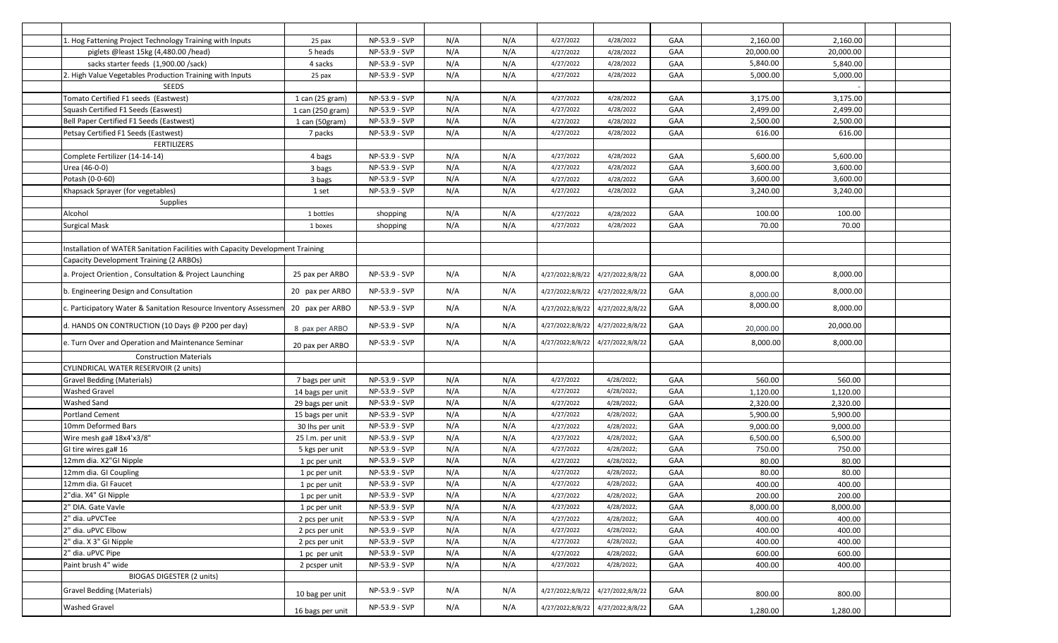| 1. Hog Fattening Project Technology Training with Inputs                       | 25 pax            | NP-53.9 - SVP   | N/A | N/A | 4/27/2022        | 4/28/2022        | GAA | 2,160.00  | 2,160.00  |  |
|--------------------------------------------------------------------------------|-------------------|-----------------|-----|-----|------------------|------------------|-----|-----------|-----------|--|
| piglets @least 15kg (4,480.00 /head)                                           | 5 heads           | NP-53.9 - SVP   | N/A | N/A | 4/27/2022        | 4/28/2022        | GAA | 20,000.00 | 20,000.00 |  |
| sacks starter feeds (1,900.00 /sack)                                           | 4 sacks           | NP-53.9 - SVP   | N/A | N/A | 4/27/2022        | 4/28/2022        | GAA | 5,840.00  | 5,840.00  |  |
| 2. High Value Vegetables Production Training with Inputs                       | 25 pax            | NP-53.9 - SVP   | N/A | N/A | 4/27/2022        | 4/28/2022        | GAA | 5,000.00  | 5,000.00  |  |
| <b>SEEDS</b>                                                                   |                   |                 |     |     |                  |                  |     |           |           |  |
| Tomato Certified F1 seeds (Eastwest)                                           | $1$ can (25 gram) | NP-53.9 - SVP   | N/A | N/A | 4/27/2022        | 4/28/2022        | GAA | 3,175.00  | 3,175.00  |  |
| Squash Certified F1 Seeds (Easwest)                                            | 1 can (250 gram)  | NP-53.9 - SVP   | N/A | N/A | 4/27/2022        | 4/28/2022        | GAA | 2,499.00  | 2,499.00  |  |
| Bell Paper Certified F1 Seeds (Eastwest)                                       | 1 can (50gram)    | NP-53.9 - SVP   | N/A | N/A | 4/27/2022        | 4/28/2022        | GAA | 2,500.00  | 2,500.00  |  |
| Petsay Certified F1 Seeds (Eastwest)                                           | 7 packs           | NP-53.9 - SVP   | N/A | N/A | 4/27/2022        | 4/28/2022        | GAA | 616.00    | 616.00    |  |
| <b>FERTILIZERS</b>                                                             |                   |                 |     |     |                  |                  |     |           |           |  |
| Complete Fertilizer (14-14-14)                                                 | 4 bags            | NP-53.9 - SVP   | N/A | N/A | 4/27/2022        | 4/28/2022        | GAA | 5,600.00  | 5,600.00  |  |
| Urea (46-0-0)                                                                  |                   | NP-53.9 - SVP   | N/A | N/A | 4/27/2022        | 4/28/2022        | GAA | 3,600.00  | 3,600.00  |  |
| Potash (0-0-60)                                                                | 3 bags            | NP-53.9 - SVP   | N/A | N/A | 4/27/2022        | 4/28/2022        | GAA | 3,600.00  | 3,600.00  |  |
| Khapsack Sprayer (for vegetables)                                              | 3 bags            | NP-53.9 - SVP   | N/A | N/A | 4/27/2022        | 4/28/2022        | GAA | 3,240.00  | 3,240.00  |  |
|                                                                                | 1 set             |                 |     |     |                  |                  |     |           |           |  |
| <b>Supplies</b>                                                                |                   |                 | N/A |     |                  |                  |     |           |           |  |
| Alcohol                                                                        | 1 bottles         | shopping        |     | N/A | 4/27/2022        | 4/28/2022        | GAA | 100.00    | 100.00    |  |
| <b>Surgical Mask</b>                                                           | 1 boxes           | shopping        | N/A | N/A | 4/27/2022        | 4/28/2022        | GAA | 70.00     | 70.00     |  |
|                                                                                |                   |                 |     |     |                  |                  |     |           |           |  |
| Installation of WATER Sanitation Facilities with Capacity Development Training |                   |                 |     |     |                  |                  |     |           |           |  |
| Capacity Development Training (2 ARBOs)                                        |                   |                 |     |     |                  |                  |     |           |           |  |
| a. Project Oriention, Consultation & Project Launching                         | 25 pax per ARBO   | NP-53.9 - SVP   | N/A | N/A | 4/27/2022;8/8/22 | 4/27/2022;8/8/22 | GAA | 8,000.00  | 8,000.00  |  |
| b. Engineering Design and Consultation                                         | 20 pax per ARBO   | NP-53.9 - SVP   | N/A | N/A | 4/27/2022;8/8/22 | 4/27/2022;8/8/22 | GAA | 8,000.00  | 8,000.00  |  |
| c. Participatory Water & Sanitation Resource Inventory Assessmer               | 20 pax per ARBO   | NP-53.9 - SVP   | N/A | N/A | 4/27/2022;8/8/22 | 4/27/2022;8/8/22 | GAA | 8,000.00  | 8,000.00  |  |
| d. HANDS ON CONTRUCTION (10 Days @ P200 per day)                               | 8 pax per ARBO    | NP-53.9 - SVP   | N/A | N/A | 4/27/2022;8/8/22 | 4/27/2022;8/8/22 | GAA | 20,000.00 | 20,000.00 |  |
| e. Turn Over and Operation and Maintenance Seminar                             | 20 pax per ARBO   | NP-53.9 - SVP   | N/A | N/A | 4/27/2022;8/8/22 | 4/27/2022;8/8/22 | GAA | 8,000.00  | 8,000.00  |  |
| <b>Construction Materials</b>                                                  |                   |                 |     |     |                  |                  |     |           |           |  |
| CYLINDRICAL WATER RESERVOIR (2 units)                                          |                   |                 |     |     |                  |                  |     |           |           |  |
| Gravel Bedding (Materials)                                                     | 7 bags per unit   | NP-53.9 - SVP   | N/A | N/A | 4/27/2022        | 4/28/2022;       | GAA | 560.00    | 560.00    |  |
| <b>Washed Gravel</b>                                                           | 14 bags per unit  | NP-53.9 - SVP   | N/A | N/A | 4/27/2022        | 4/28/2022;       | GAA | 1,120.00  | 1,120.00  |  |
| Washed Sand                                                                    | 29 bags per unit  | NP-53.9 - SVP   | N/A | N/A | 4/27/2022        | 4/28/2022;       | GAA | 2,320.00  | 2,320.00  |  |
| <b>Portland Cement</b>                                                         | 15 bags per unit  | NP-53.9 - SVP   | N/A | N/A | 4/27/2022        | 4/28/2022;       | GAA | 5,900.00  | 5,900.00  |  |
| 10mm Deformed Bars                                                             | 30 lhs per unit   | NP-53.9 - SVP   | N/A | N/A | 4/27/2022        | 4/28/2022;       | GAA | 9,000.00  | 9,000.00  |  |
| Wire mesh ga# 18x4'x3/8"                                                       | 25 l.m. per unit  | NP-53.9 - SVP   | N/A | N/A | 4/27/2022        | 4/28/2022;       | GAA | 6,500.00  | 6,500.00  |  |
| GI tire wires ga# 16                                                           | 5 kgs per unit    | NP-53.9 - SVP   | N/A | N/A | 4/27/2022        | 4/28/2022;       | GAA | 750.00    | 750.00    |  |
| 12mm dia. X2"GI Nipple                                                         | 1 pc per unit     | NP-53.9 - SVP   | N/A | N/A | 4/27/2022        | 4/28/2022;       | GAA | 80.00     | 80.00     |  |
| 12mm dia. GI Coupling                                                          | 1 pc per unit     | NP-53.9 - SVP   | N/A | N/A | 4/27/2022        | 4/28/2022;       | GAA | 80.00     | 80.00     |  |
| 12mm dia. GI Faucet                                                            | 1 pc per unit     | NP-53.9 - SVP   | N/A | N/A | 4/27/2022        | 4/28/2022;       | GAA | 400.00    | 400.00    |  |
| 2"dia. X4" GI Nipple                                                           | 1 pc per unit     | NP-53.9 - SVP   | N/A | N/A | 4/27/2022        | 4/28/2022;       | GAA | 200.00    | 200.00    |  |
| 2" DIA. Gate Vavle                                                             | 1 pc per unit     | NP-53.9 - SVP   | N/A | N/A | 4/27/2022        | 4/28/2022;       | GAA | 8,000.00  | 8,000.00  |  |
| 2" dia. uPVCTee                                                                | 2 pcs per unit    | NP-53.9 - SVP   | N/A | N/A | 4/27/2022        | 4/28/2022;       | GAA | 400.00    | 400.00    |  |
| 2" dia. uPVC Elbow                                                             | 2 pcs per unit    | $NP-53.9 - SVP$ | N/A | N/A | 4/27/2022        | 4/28/2022;       | GAA | 400.00    | 400.00    |  |
| 2" dia. X 3" GI Nipple                                                         | 2 pcs per unit    | NP-53.9 - SVP   | N/A | N/A | 4/27/2022        | 4/28/2022;       | GAA | 400.00    | 400.00    |  |
| 2" dia. uPVC Pipe                                                              | 1 pc per unit     | NP-53.9 - SVP   | N/A | N/A | 4/27/2022        | 4/28/2022;       | GAA | 600.00    | 600.00    |  |
| Paint brush 4" wide                                                            | 2 pcsper unit     | NP-53.9 - SVP   | N/A | N/A | 4/27/2022        | 4/28/2022;       | GAA | 400.00    | 400.00    |  |
| <b>BIOGAS DIGESTER (2 units)</b>                                               |                   |                 |     |     |                  |                  |     |           |           |  |
| <b>Gravel Bedding (Materials)</b>                                              | 10 bag per unit   | NP-53.9 - SVP   | N/A | N/A | 4/27/2022;8/8/22 | 4/27/2022;8/8/22 | GAA | 800.00    | 800.00    |  |
| Washed Gravel                                                                  | 16 bags per unit  | NP-53.9 - SVP   | N/A | N/A | 4/27/2022;8/8/22 | 4/27/2022;8/8/22 | GAA | 1,280.00  | 1,280.00  |  |
|                                                                                |                   |                 |     |     |                  |                  |     |           |           |  |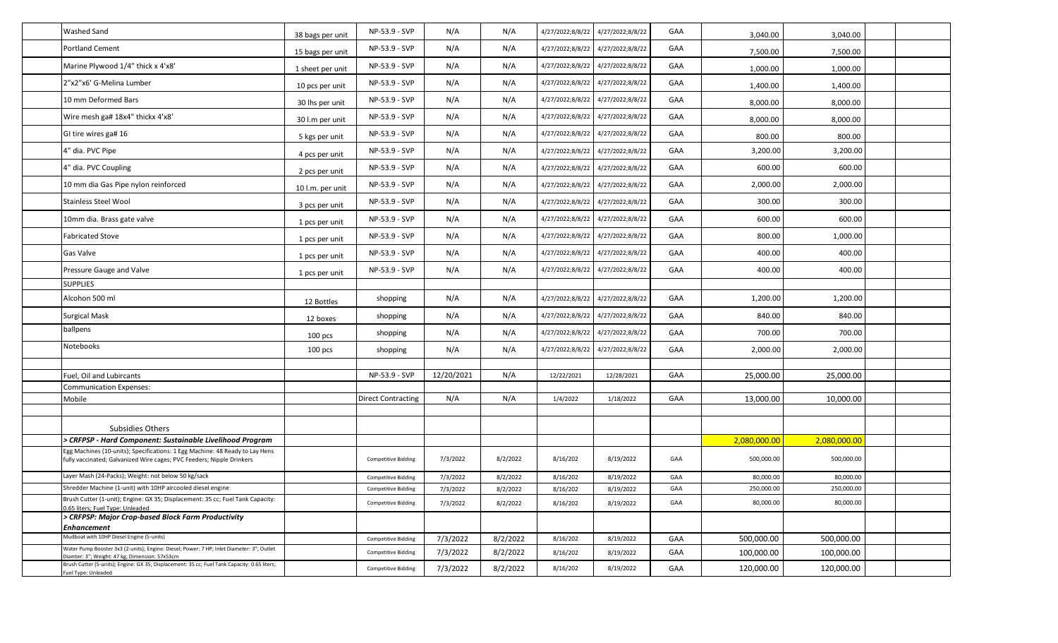| <b>Washed Sand</b>                                                                                                                                                                                                                          | 38 bags per unit | NP-53.9 - SVP              | N/A        | N/A      | 4/27/2022;8/8/22 | 4/27/2022;8/8/22 | GAA | 3,040.00     | 3,040.00     |  |
|---------------------------------------------------------------------------------------------------------------------------------------------------------------------------------------------------------------------------------------------|------------------|----------------------------|------------|----------|------------------|------------------|-----|--------------|--------------|--|
| <b>Portland Cement</b>                                                                                                                                                                                                                      | 15 bags per unit | NP-53.9 - SVP              | N/A        | N/A      | 4/27/2022;8/8/22 | 4/27/2022;8/8/22 | GAA | 7,500.00     | 7,500.00     |  |
| Marine Plywood 1/4" thick x 4'x8'                                                                                                                                                                                                           | 1 sheet per unit | NP-53.9 - SVP              | N/A        | N/A      | 4/27/2022;8/8/22 | 4/27/2022;8/8/22 | GAA | 1,000.00     | 1,000.00     |  |
| 2"x2"x6' G-Melina Lumber                                                                                                                                                                                                                    | 10 pcs per unit  | NP-53.9 - SVP              | N/A        | N/A      | 4/27/2022;8/8/22 | 4/27/2022;8/8/22 | GAA | 1,400.00     | 1,400.00     |  |
| 10 mm Deformed Bars                                                                                                                                                                                                                         | 30 lhs per unit  | NP-53.9 - SVP              | N/A        | N/A      | 4/27/2022;8/8/22 | 4/27/2022;8/8/22 | GAA | 8,000.00     | 8,000.00     |  |
| Wire mesh ga# 18x4" thickx 4'x8'                                                                                                                                                                                                            | 30 l.m per unit  | NP-53.9 - SVP              | N/A        | N/A      | 4/27/2022;8/8/22 | 4/27/2022;8/8/22 | GAA | 8,000.00     | 8,000.00     |  |
| GI tire wires ga# 16                                                                                                                                                                                                                        | 5 kgs per unit   | NP-53.9 - SVP              | N/A        | N/A      | 4/27/2022;8/8/22 | 4/27/2022;8/8/22 | GAA | 800.00       | 800.00       |  |
| 4" dia. PVC Pipe                                                                                                                                                                                                                            | 4 pcs per unit   | NP-53.9 - SVP              | N/A        | N/A      | 4/27/2022;8/8/22 | 4/27/2022;8/8/22 | GAA | 3,200.00     | 3,200.00     |  |
| 4" dia. PVC Coupling                                                                                                                                                                                                                        | 2 pcs per unit   | NP-53.9 - SVP              | N/A        | N/A      | 4/27/2022;8/8/22 | 4/27/2022;8/8/22 | GAA | 600.00       | 600.00       |  |
| 10 mm dia Gas Pipe nylon reinforced                                                                                                                                                                                                         | 10 l.m. per unit | NP-53.9 - SVP              | N/A        | N/A      | 4/27/2022;8/8/22 | 4/27/2022;8/8/22 | GAA | 2,000.00     | 2,000.00     |  |
| <b>Stainless Steel Wool</b>                                                                                                                                                                                                                 | 3 pcs per unit   | NP-53.9 - SVP              | N/A        | N/A      | 4/27/2022;8/8/22 | 4/27/2022;8/8/22 | GAA | 300.00       | 300.00       |  |
| 10mm dia. Brass gate valve                                                                                                                                                                                                                  | 1 pcs per unit   | NP-53.9 - SVP              | N/A        | N/A      | 4/27/2022;8/8/22 | 4/27/2022;8/8/22 | GAA | 600.00       | 600.00       |  |
| <b>Fabricated Stove</b>                                                                                                                                                                                                                     | 1 pcs per unit   | NP-53.9 - SVP              | N/A        | N/A      | 4/27/2022;8/8/22 | 4/27/2022;8/8/22 | GAA | 800.00       | 1,000.00     |  |
| Gas Valve                                                                                                                                                                                                                                   | 1 pcs per unit   | NP-53.9 - SVP              | N/A        | N/A      | 4/27/2022;8/8/22 | 4/27/2022;8/8/22 | GAA | 400.00       | 400.00       |  |
| Pressure Gauge and Valve                                                                                                                                                                                                                    | 1 pcs per unit   | NP-53.9 - SVP              | N/A        | N/A      | 4/27/2022;8/8/22 | 4/27/2022;8/8/22 | GAA | 400.00       | 400.00       |  |
| <b>SUPPLIES</b>                                                                                                                                                                                                                             |                  |                            |            |          |                  |                  |     |              |              |  |
| Alcohon 500 ml                                                                                                                                                                                                                              | 12 Bottles       | shopping                   | N/A        | N/A      | 4/27/2022;8/8/22 | 4/27/2022;8/8/22 | GAA | 1,200.00     | 1,200.00     |  |
| <b>Surgical Mask</b>                                                                                                                                                                                                                        | 12 boxes         | shopping                   | N/A        | N/A      | 4/27/2022;8/8/22 | 4/27/2022;8/8/22 | GAA | 840.00       | 840.00       |  |
| ballpens                                                                                                                                                                                                                                    | $100$ pcs        | shopping                   | N/A        | N/A      | 4/27/2022;8/8/22 | 4/27/2022;8/8/22 | GAA | 700.00       | 700.00       |  |
| Notebooks                                                                                                                                                                                                                                   | $100$ pcs        | shopping                   | N/A        | N/A      | 4/27/2022;8/8/22 | 4/27/2022;8/8/22 | GAA | 2,000.00     | 2,000.00     |  |
|                                                                                                                                                                                                                                             |                  |                            |            |          |                  |                  |     |              |              |  |
| Fuel, Oil and Lubircants                                                                                                                                                                                                                    |                  | NP-53.9 - SVP              | 12/20/2021 | N/A      | 12/22/2021       | 12/28/2021       | GAA | 25,000.00    | 25,000.00    |  |
| <b>Communication Expenses:</b>                                                                                                                                                                                                              |                  |                            |            |          |                  |                  |     |              |              |  |
| Mobile                                                                                                                                                                                                                                      |                  | <b>Direct Contracting</b>  | N/A        | N/A      | 1/4/2022         | 1/18/2022        | GAA | 13,000.00    | 10,000.00    |  |
|                                                                                                                                                                                                                                             |                  |                            |            |          |                  |                  |     |              |              |  |
| Subsidies Others                                                                                                                                                                                                                            |                  |                            |            |          |                  |                  |     |              |              |  |
| CRFPSP - Hard Component: Sustainable Livelihood Program                                                                                                                                                                                     |                  |                            |            |          |                  |                  |     | 2,080,000.00 | 2,080,000.00 |  |
| Egg Machines (10-units); Specifications: 1 Egg Machine: 48 Ready to Lay Hens<br>fully vaccinated; Galvanized Wire cages; PVC Feeders; Nipple Drinkers                                                                                       |                  | <b>Competitive Bidding</b> | 7/3/2022   | 8/2/2022 | 8/16/202         | 8/19/2022        | GAA | 500,000.00   | 500,000.00   |  |
| Layer Mash (24-Packs); Weight: not below 50 kg/sack                                                                                                                                                                                         |                  | <b>Competitive Bidding</b> | 7/3/2022   | 8/2/2022 | 8/16/202         | 8/19/2022        | GAA | 80,000.00    | 80,000.00    |  |
| Shredder Machine (1-unit) with 10HP aircooled diesel engine                                                                                                                                                                                 |                  | <b>Competitive Bidding</b> | 7/3/2022   | 8/2/2022 | 8/16/202         | 8/19/2022        | GAA | 250,000.00   | 250,000.00   |  |
| Brush Cutter (1-unit); Engine: GX 35; Displacement: 35 cc; Fuel Tank Capacity:<br>0.65 liters; Fuel Type: Unleaded                                                                                                                          |                  | <b>Competitive Bidding</b> | 7/3/2022   | 8/2/2022 | 8/16/202         | 8/19/2022        | GAA | 80,000.00    | 80,000.00    |  |
| > CRFPSP: Major Crop-based Block Farm Productivity                                                                                                                                                                                          |                  |                            |            |          |                  |                  |     |              |              |  |
| Enhancement                                                                                                                                                                                                                                 |                  |                            |            |          |                  |                  |     |              |              |  |
| Mudboat with 10HP Diesel Engine (5-units)                                                                                                                                                                                                   |                  | <b>Competitive Bidding</b> | 7/3/2022   | 8/2/2022 | 8/16/202         | 8/19/2022        | GAA | 500,000.00   | 500,000.00   |  |
| Water Pump Booster 3x3 (2-units); Engine: Diesel; Power: 7 HP; Inlet Diameter: 3"; Outlet<br>Diamter: 3": Weight: 47 kg: Dimension: 57x53cm<br>Brush Cutter (5-units); Engine: GX 35; Displacement: 35 cc; Fuel Tank Capacity: 0.65 liters; |                  | <b>Competitive Bidding</b> | 7/3/2022   | 8/2/2022 | 8/16/202         | 8/19/2022        | GAA | 100,000.00   | 100,000.00   |  |
| uel Type: Unleaded                                                                                                                                                                                                                          |                  | <b>Competitive Bidding</b> | 7/3/2022   | 8/2/2022 | 8/16/202         | 8/19/2022        | GAA | 120,000.00   | 120,000.00   |  |